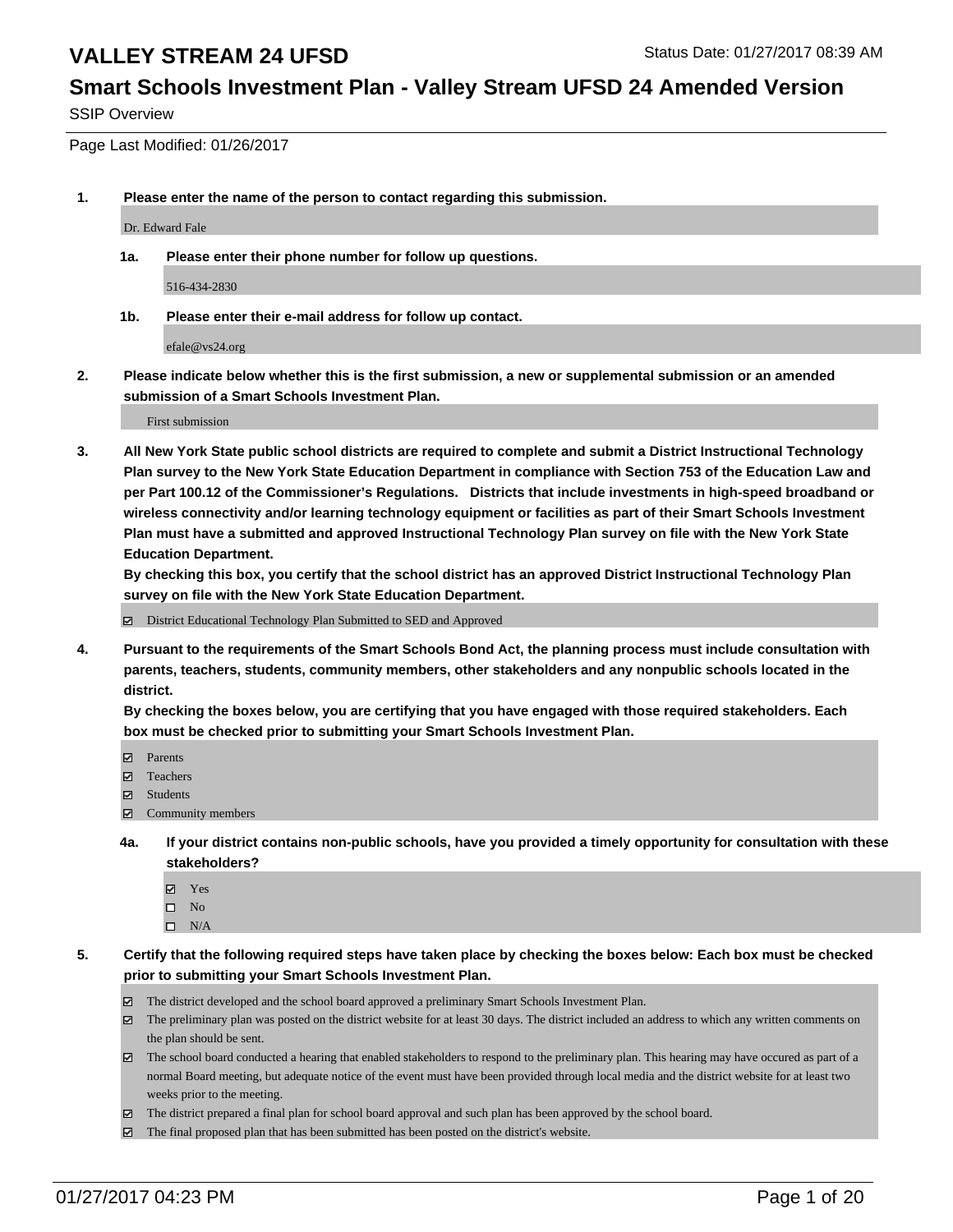# **Smart Schools Investment Plan - Valley Stream UFSD 24 Amended Version**

SSIP Overview

Page Last Modified: 01/26/2017

**1. Please enter the name of the person to contact regarding this submission.**

Dr. Edward Fale

**1a. Please enter their phone number for follow up questions.**

516-434-2830

**1b. Please enter their e-mail address for follow up contact.**

efale@vs24.org

**2. Please indicate below whether this is the first submission, a new or supplemental submission or an amended submission of a Smart Schools Investment Plan.**

First submission

**3. All New York State public school districts are required to complete and submit a District Instructional Technology Plan survey to the New York State Education Department in compliance with Section 753 of the Education Law and per Part 100.12 of the Commissioner's Regulations. Districts that include investments in high-speed broadband or wireless connectivity and/or learning technology equipment or facilities as part of their Smart Schools Investment Plan must have a submitted and approved Instructional Technology Plan survey on file with the New York State Education Department.** 

**By checking this box, you certify that the school district has an approved District Instructional Technology Plan survey on file with the New York State Education Department.**

District Educational Technology Plan Submitted to SED and Approved

**4. Pursuant to the requirements of the Smart Schools Bond Act, the planning process must include consultation with parents, teachers, students, community members, other stakeholders and any nonpublic schools located in the district.** 

**By checking the boxes below, you are certifying that you have engaged with those required stakeholders. Each box must be checked prior to submitting your Smart Schools Investment Plan.**

- **Parents**
- Teachers
- **冈** Students
- Community members
- **4a. If your district contains non-public schools, have you provided a timely opportunity for consultation with these stakeholders?**
	- Yes
	- $\square$  No
	- $\square$  N/A
- **5. Certify that the following required steps have taken place by checking the boxes below: Each box must be checked prior to submitting your Smart Schools Investment Plan.**
	- The district developed and the school board approved a preliminary Smart Schools Investment Plan.
	- The preliminary plan was posted on the district website for at least 30 days. The district included an address to which any written comments on the plan should be sent.
	- The school board conducted a hearing that enabled stakeholders to respond to the preliminary plan. This hearing may have occured as part of a normal Board meeting, but adequate notice of the event must have been provided through local media and the district website for at least two weeks prior to the meeting.
	- The district prepared a final plan for school board approval and such plan has been approved by the school board.
	- $\boxtimes$  The final proposed plan that has been submitted has been posted on the district's website.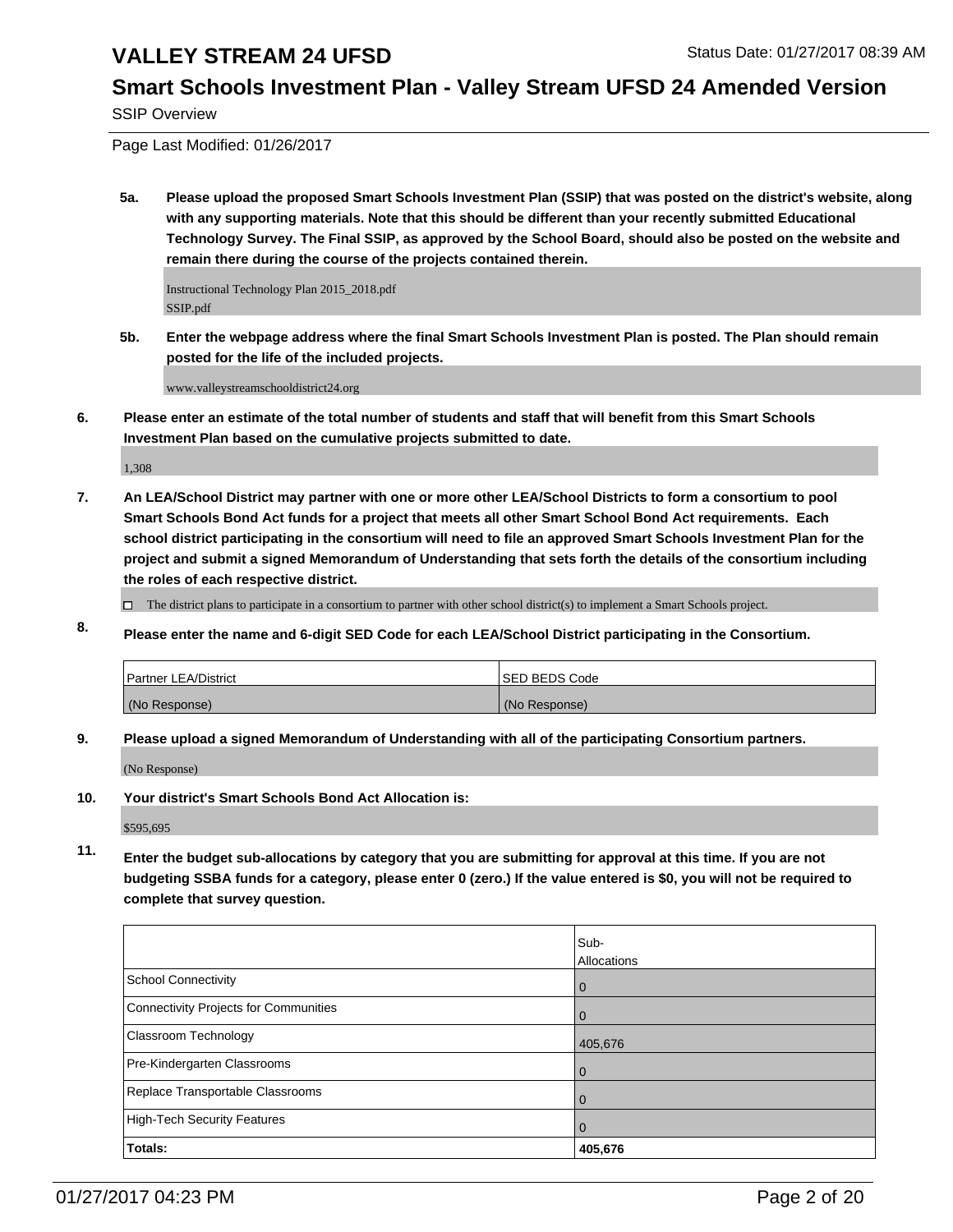### **Smart Schools Investment Plan - Valley Stream UFSD 24 Amended Version**

SSIP Overview

Page Last Modified: 01/26/2017

**5a. Please upload the proposed Smart Schools Investment Plan (SSIP) that was posted on the district's website, along with any supporting materials. Note that this should be different than your recently submitted Educational Technology Survey. The Final SSIP, as approved by the School Board, should also be posted on the website and remain there during the course of the projects contained therein.**

Instructional Technology Plan 2015\_2018.pdf SSIP.pdf

**5b. Enter the webpage address where the final Smart Schools Investment Plan is posted. The Plan should remain posted for the life of the included projects.**

www.valleystreamschooldistrict24.org

**6. Please enter an estimate of the total number of students and staff that will benefit from this Smart Schools Investment Plan based on the cumulative projects submitted to date.**

1,308

**7. An LEA/School District may partner with one or more other LEA/School Districts to form a consortium to pool Smart Schools Bond Act funds for a project that meets all other Smart School Bond Act requirements. Each school district participating in the consortium will need to file an approved Smart Schools Investment Plan for the project and submit a signed Memorandum of Understanding that sets forth the details of the consortium including the roles of each respective district.**

 $\Box$  The district plans to participate in a consortium to partner with other school district(s) to implement a Smart Schools project.

**8. Please enter the name and 6-digit SED Code for each LEA/School District participating in the Consortium.**

| Partner LEA/District | <b>ISED BEDS Code</b> |
|----------------------|-----------------------|
| (No Response)        | (No Response)         |

**9. Please upload a signed Memorandum of Understanding with all of the participating Consortium partners.**

(No Response)

**10. Your district's Smart Schools Bond Act Allocation is:**

\$595,695

**11. Enter the budget sub-allocations by category that you are submitting for approval at this time. If you are not budgeting SSBA funds for a category, please enter 0 (zero.) If the value entered is \$0, you will not be required to complete that survey question.**

|                                       | Sub-        |
|---------------------------------------|-------------|
|                                       | Allocations |
| School Connectivity                   | l 0         |
| Connectivity Projects for Communities | $\Omega$    |
| <b>Classroom Technology</b>           | 405,676     |
| Pre-Kindergarten Classrooms           | $\Omega$    |
| Replace Transportable Classrooms      | $\Omega$    |
| High-Tech Security Features           | $\Omega$    |
| Totals:                               | 405,676     |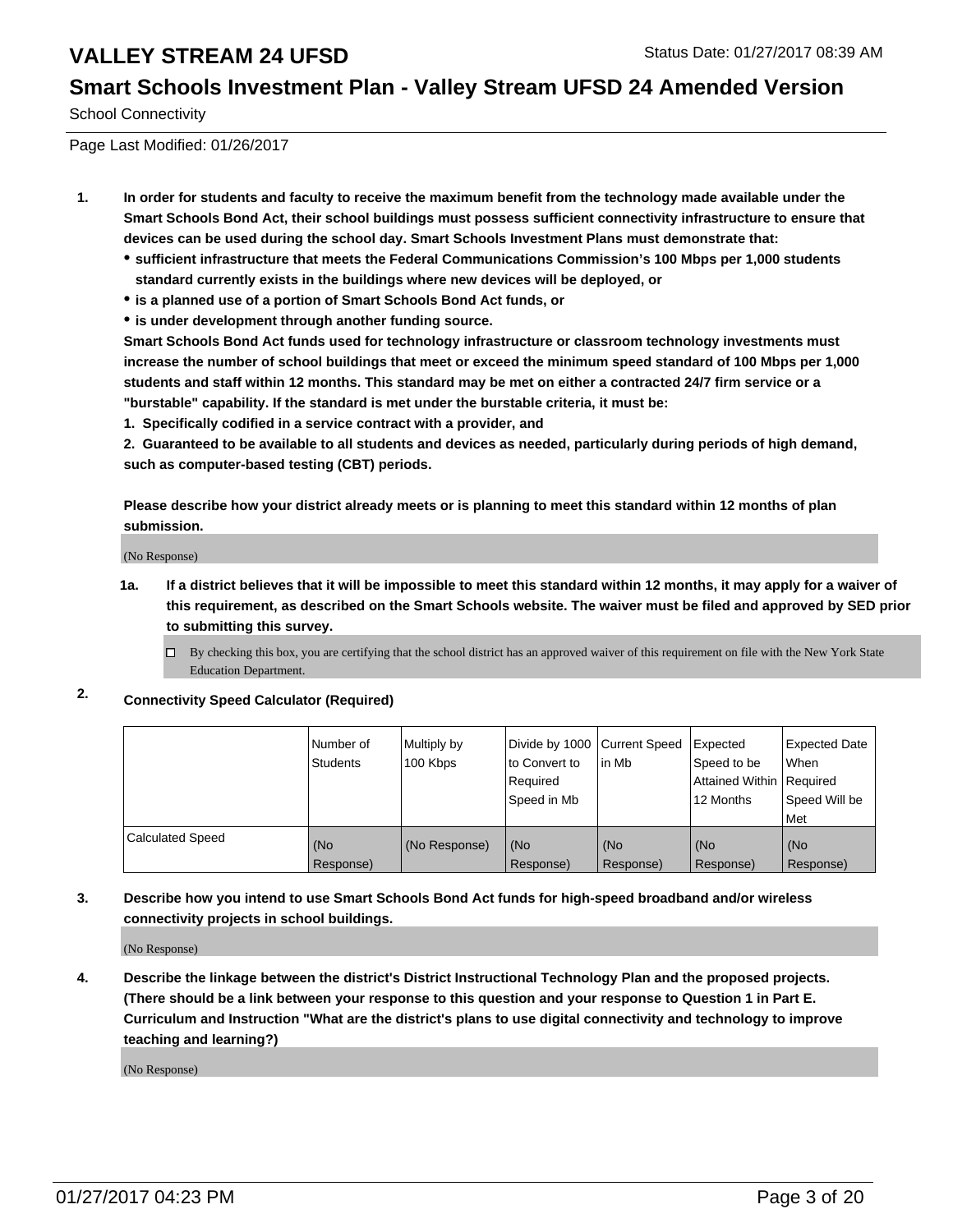### **Smart Schools Investment Plan - Valley Stream UFSD 24 Amended Version**

School Connectivity

Page Last Modified: 01/26/2017

- **1. In order for students and faculty to receive the maximum benefit from the technology made available under the Smart Schools Bond Act, their school buildings must possess sufficient connectivity infrastructure to ensure that devices can be used during the school day. Smart Schools Investment Plans must demonstrate that:**
	- **sufficient infrastructure that meets the Federal Communications Commission's 100 Mbps per 1,000 students standard currently exists in the buildings where new devices will be deployed, or**
	- **is a planned use of a portion of Smart Schools Bond Act funds, or**
	- **is under development through another funding source.**

**Smart Schools Bond Act funds used for technology infrastructure or classroom technology investments must increase the number of school buildings that meet or exceed the minimum speed standard of 100 Mbps per 1,000 students and staff within 12 months. This standard may be met on either a contracted 24/7 firm service or a "burstable" capability. If the standard is met under the burstable criteria, it must be:**

**1. Specifically codified in a service contract with a provider, and**

**2. Guaranteed to be available to all students and devices as needed, particularly during periods of high demand, such as computer-based testing (CBT) periods.**

**Please describe how your district already meets or is planning to meet this standard within 12 months of plan submission.**

(No Response)

- **1a. If a district believes that it will be impossible to meet this standard within 12 months, it may apply for a waiver of this requirement, as described on the Smart Schools website. The waiver must be filed and approved by SED prior to submitting this survey.**
	- $\Box$ By checking this box, you are certifying that the school district has an approved waiver of this requirement on file with the New York State Education Department.
- **2. Connectivity Speed Calculator (Required)**

|                         | l Number of<br>Students | Multiply by<br>100 Kbps | Divide by 1000 Current Speed<br>to Convert to<br>Reauired<br>Speed in Mb | in Mb            | Expected<br>Speed to be<br>Attained Within   Required<br>12 Months | <b>Expected Date</b><br>l When<br>Speed Will be<br>Met |
|-------------------------|-------------------------|-------------------------|--------------------------------------------------------------------------|------------------|--------------------------------------------------------------------|--------------------------------------------------------|
| <b>Calculated Speed</b> | (No<br>Response)        | (No Response)           | (No<br>Response)                                                         | (No<br>Response) | (No<br>Response)                                                   | (No<br>Response)                                       |

**3. Describe how you intend to use Smart Schools Bond Act funds for high-speed broadband and/or wireless connectivity projects in school buildings.**

(No Response)

**4. Describe the linkage between the district's District Instructional Technology Plan and the proposed projects. (There should be a link between your response to this question and your response to Question 1 in Part E. Curriculum and Instruction "What are the district's plans to use digital connectivity and technology to improve teaching and learning?)**

(No Response)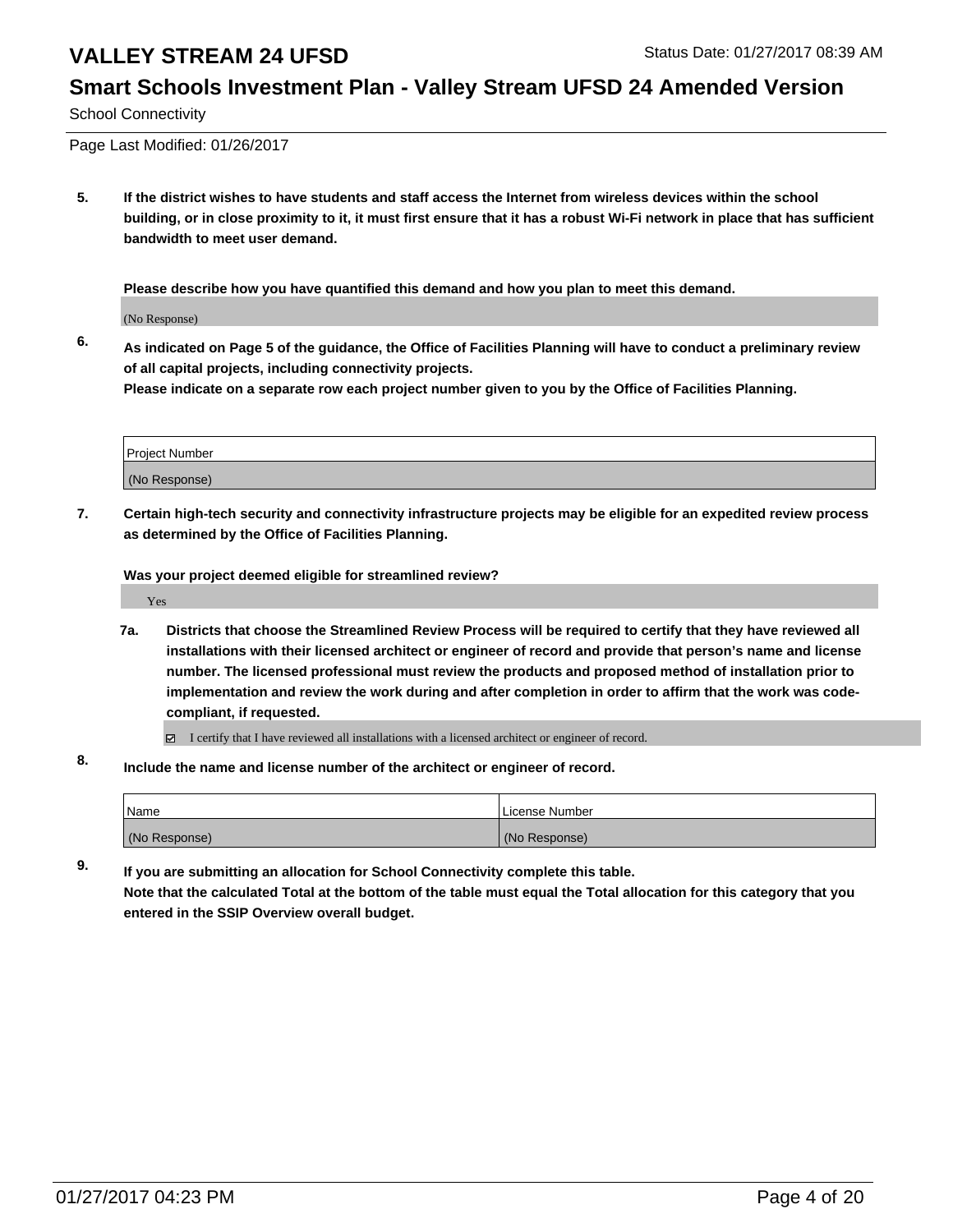# **Smart Schools Investment Plan - Valley Stream UFSD 24 Amended Version**

School Connectivity

Page Last Modified: 01/26/2017

**5. If the district wishes to have students and staff access the Internet from wireless devices within the school building, or in close proximity to it, it must first ensure that it has a robust Wi-Fi network in place that has sufficient bandwidth to meet user demand.**

**Please describe how you have quantified this demand and how you plan to meet this demand.**

(No Response)

**6. As indicated on Page 5 of the guidance, the Office of Facilities Planning will have to conduct a preliminary review of all capital projects, including connectivity projects.**

**Please indicate on a separate row each project number given to you by the Office of Facilities Planning.**

| Project Number |  |
|----------------|--|
|                |  |
| (No Response)  |  |
|                |  |

**7. Certain high-tech security and connectivity infrastructure projects may be eligible for an expedited review process as determined by the Office of Facilities Planning.**

**Was your project deemed eligible for streamlined review?**

Yes

**7a. Districts that choose the Streamlined Review Process will be required to certify that they have reviewed all installations with their licensed architect or engineer of record and provide that person's name and license number. The licensed professional must review the products and proposed method of installation prior to implementation and review the work during and after completion in order to affirm that the work was codecompliant, if requested.**

 $\Box$  I certify that I have reviewed all installations with a licensed architect or engineer of record.

**8. Include the name and license number of the architect or engineer of record.**

| <i>N</i> ame  | License Number |
|---------------|----------------|
| (No Response) | (No Response)  |

**9. If you are submitting an allocation for School Connectivity complete this table. Note that the calculated Total at the bottom of the table must equal the Total allocation for this category that you**

**entered in the SSIP Overview overall budget.**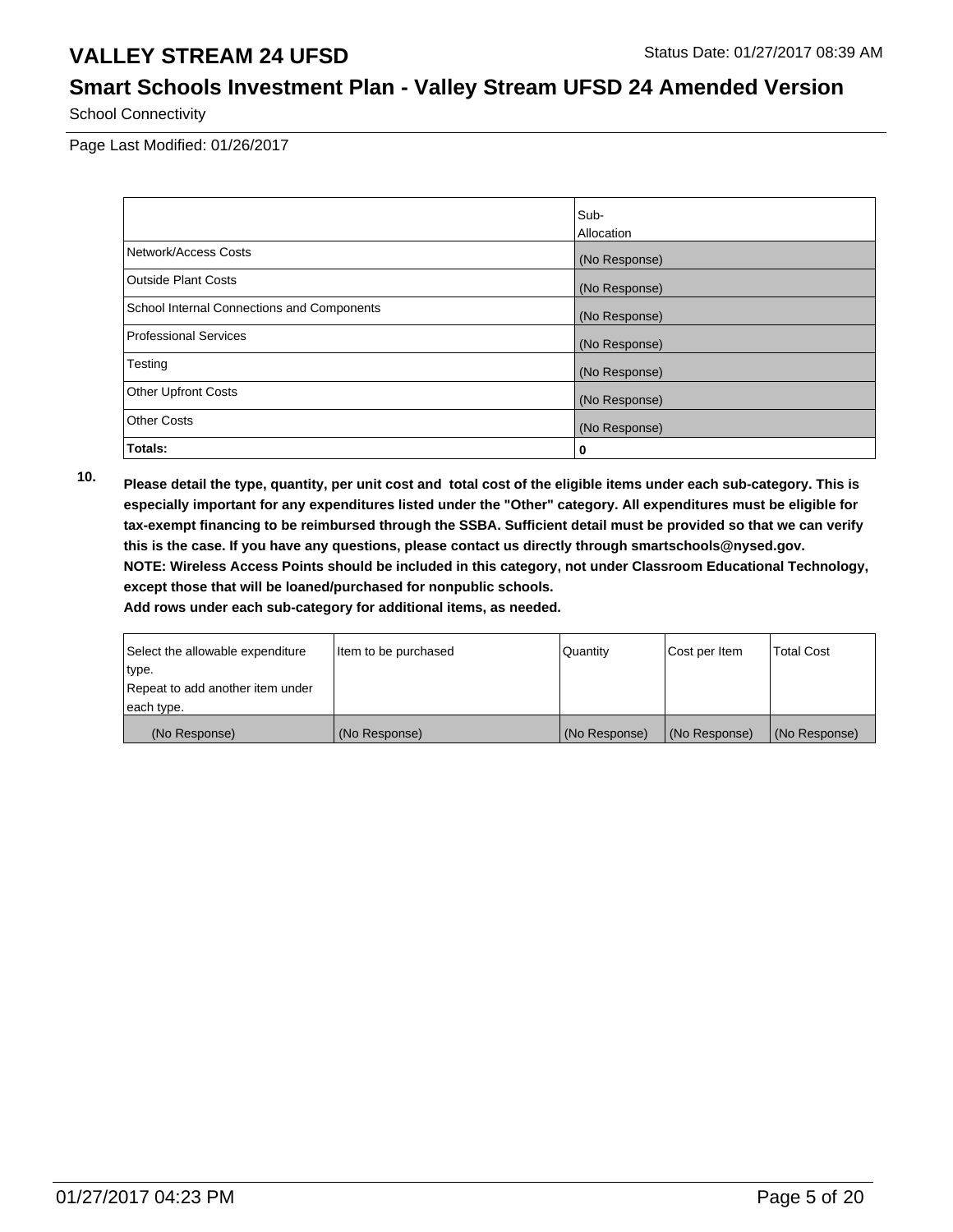# **Smart Schools Investment Plan - Valley Stream UFSD 24 Amended Version**

School Connectivity

Page Last Modified: 01/26/2017

|                                            | Sub-          |
|--------------------------------------------|---------------|
|                                            | Allocation    |
| Network/Access Costs                       | (No Response) |
| <b>Outside Plant Costs</b>                 | (No Response) |
| School Internal Connections and Components | (No Response) |
| <b>Professional Services</b>               | (No Response) |
| Testing                                    | (No Response) |
| <b>Other Upfront Costs</b>                 | (No Response) |
| <b>Other Costs</b>                         | (No Response) |
| Totals:                                    | 0             |

**10. Please detail the type, quantity, per unit cost and total cost of the eligible items under each sub-category. This is especially important for any expenditures listed under the "Other" category. All expenditures must be eligible for tax-exempt financing to be reimbursed through the SSBA. Sufficient detail must be provided so that we can verify this is the case. If you have any questions, please contact us directly through smartschools@nysed.gov. NOTE: Wireless Access Points should be included in this category, not under Classroom Educational Technology, except those that will be loaned/purchased for nonpublic schools.**

| Select the allowable expenditure | Item to be purchased | l Quantitv      | Cost per Item | <b>Total Cost</b> |
|----------------------------------|----------------------|-----------------|---------------|-------------------|
| type.                            |                      |                 |               |                   |
| Repeat to add another item under |                      |                 |               |                   |
| each type.                       |                      |                 |               |                   |
| (No Response)                    | (No Response)        | l (No Response) | (No Response) | (No Response)     |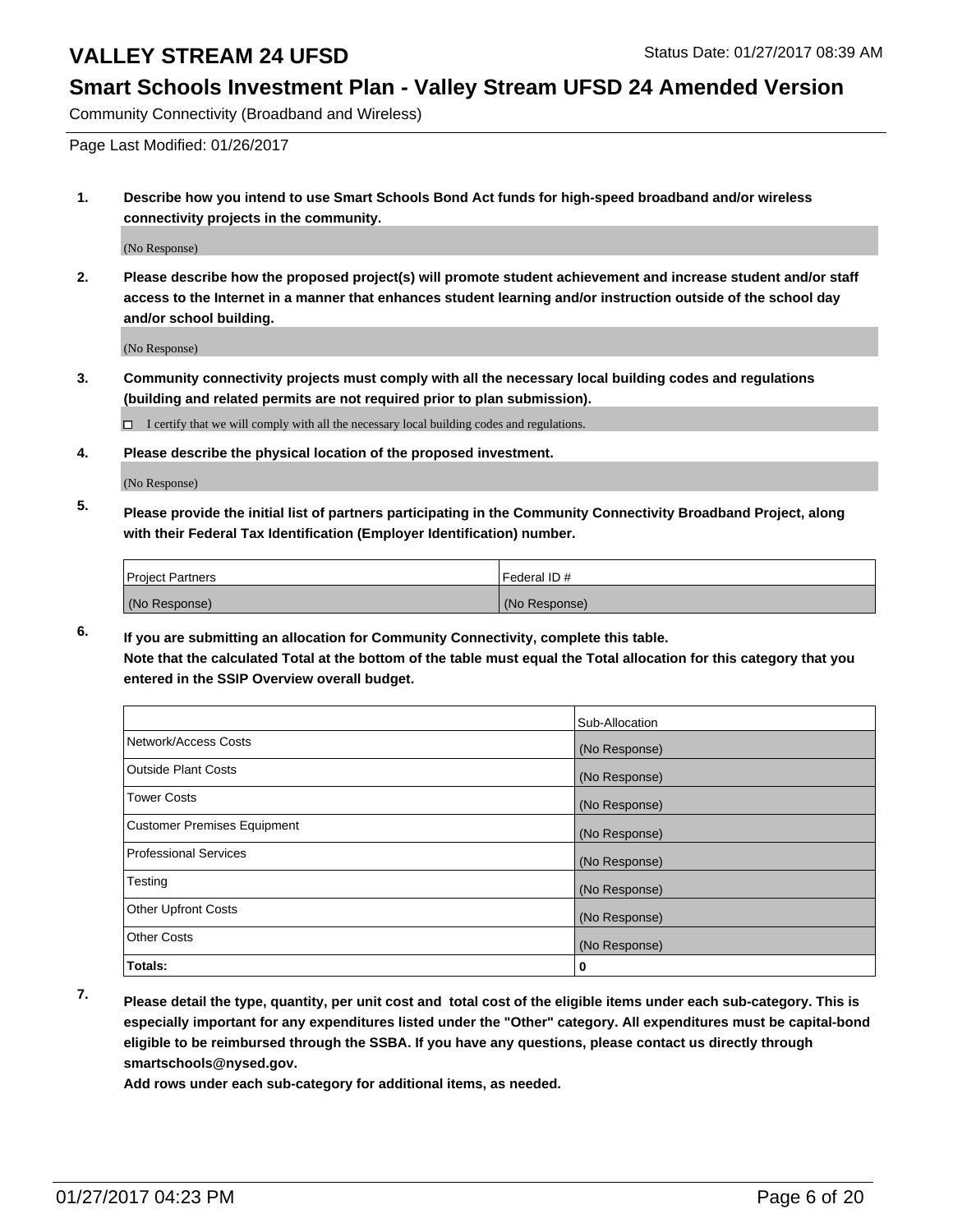# **Smart Schools Investment Plan - Valley Stream UFSD 24 Amended Version**

Community Connectivity (Broadband and Wireless)

Page Last Modified: 01/26/2017

**1. Describe how you intend to use Smart Schools Bond Act funds for high-speed broadband and/or wireless connectivity projects in the community.**

(No Response)

**2. Please describe how the proposed project(s) will promote student achievement and increase student and/or staff access to the Internet in a manner that enhances student learning and/or instruction outside of the school day and/or school building.**

(No Response)

**3. Community connectivity projects must comply with all the necessary local building codes and regulations (building and related permits are not required prior to plan submission).**

 $\Box$  I certify that we will comply with all the necessary local building codes and regulations.

**4. Please describe the physical location of the proposed investment.**

(No Response)

**5. Please provide the initial list of partners participating in the Community Connectivity Broadband Project, along with their Federal Tax Identification (Employer Identification) number.**

| <b>Project Partners</b> | Federal ID#   |
|-------------------------|---------------|
| (No Response)           | (No Response) |

**6. If you are submitting an allocation for Community Connectivity, complete this table. Note that the calculated Total at the bottom of the table must equal the Total allocation for this category that you entered in the SSIP Overview overall budget.**

|                                    | Sub-Allocation |
|------------------------------------|----------------|
| Network/Access Costs               | (No Response)  |
| <b>Outside Plant Costs</b>         | (No Response)  |
| <b>Tower Costs</b>                 | (No Response)  |
| <b>Customer Premises Equipment</b> | (No Response)  |
| <b>Professional Services</b>       | (No Response)  |
| Testing                            | (No Response)  |
| <b>Other Upfront Costs</b>         | (No Response)  |
| <b>Other Costs</b>                 | (No Response)  |
| Totals:                            | 0              |

**7. Please detail the type, quantity, per unit cost and total cost of the eligible items under each sub-category. This is especially important for any expenditures listed under the "Other" category. All expenditures must be capital-bond eligible to be reimbursed through the SSBA. If you have any questions, please contact us directly through smartschools@nysed.gov.**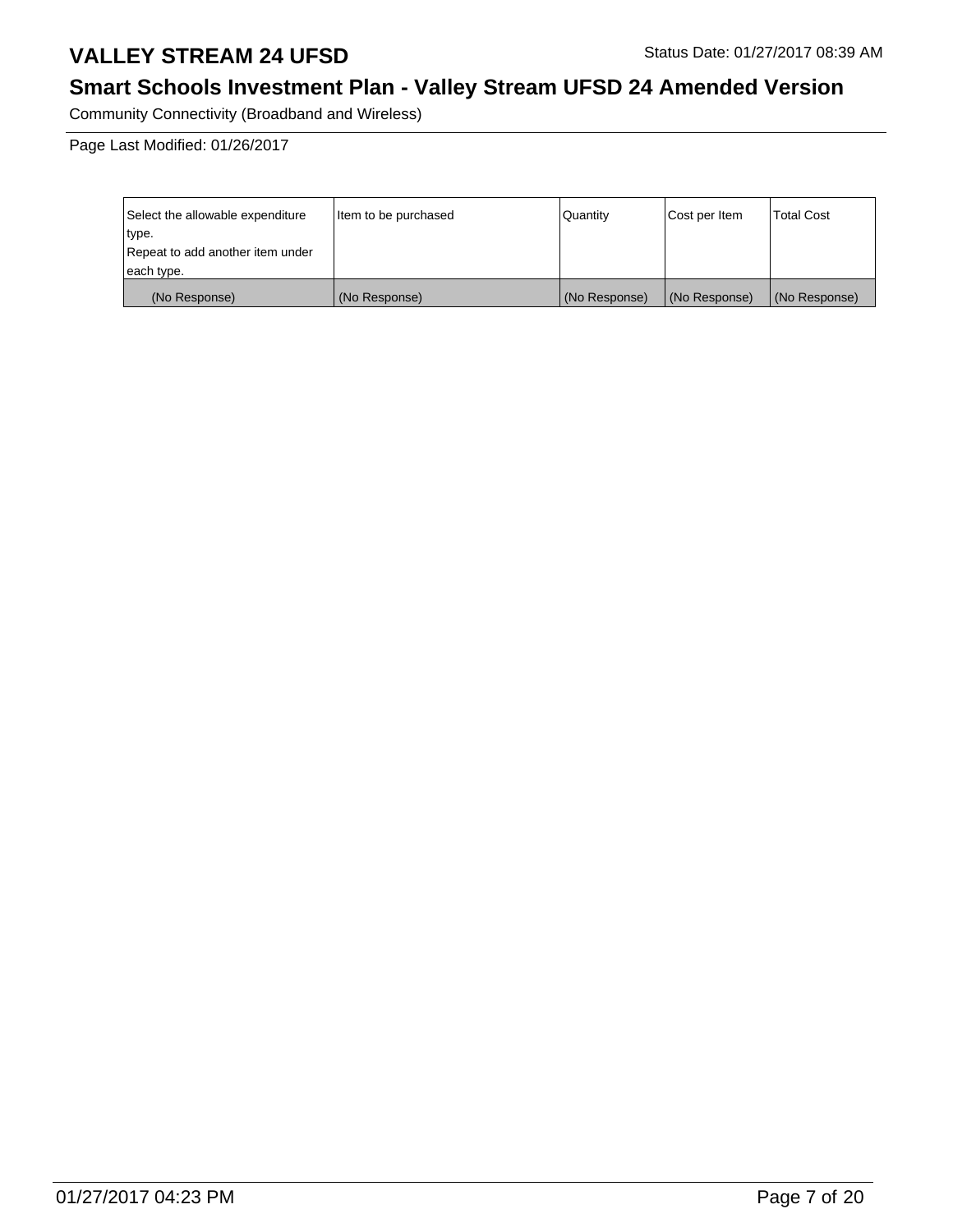# **Smart Schools Investment Plan - Valley Stream UFSD 24 Amended Version**

Community Connectivity (Broadband and Wireless)

| Select the allowable expenditure | Item to be purchased | Quantity      | Cost per Item | Total Cost    |
|----------------------------------|----------------------|---------------|---------------|---------------|
| type.                            |                      |               |               |               |
| Repeat to add another item under |                      |               |               |               |
| each type.                       |                      |               |               |               |
| (No Response)                    | (No Response)        | (No Response) | (No Response) | (No Response) |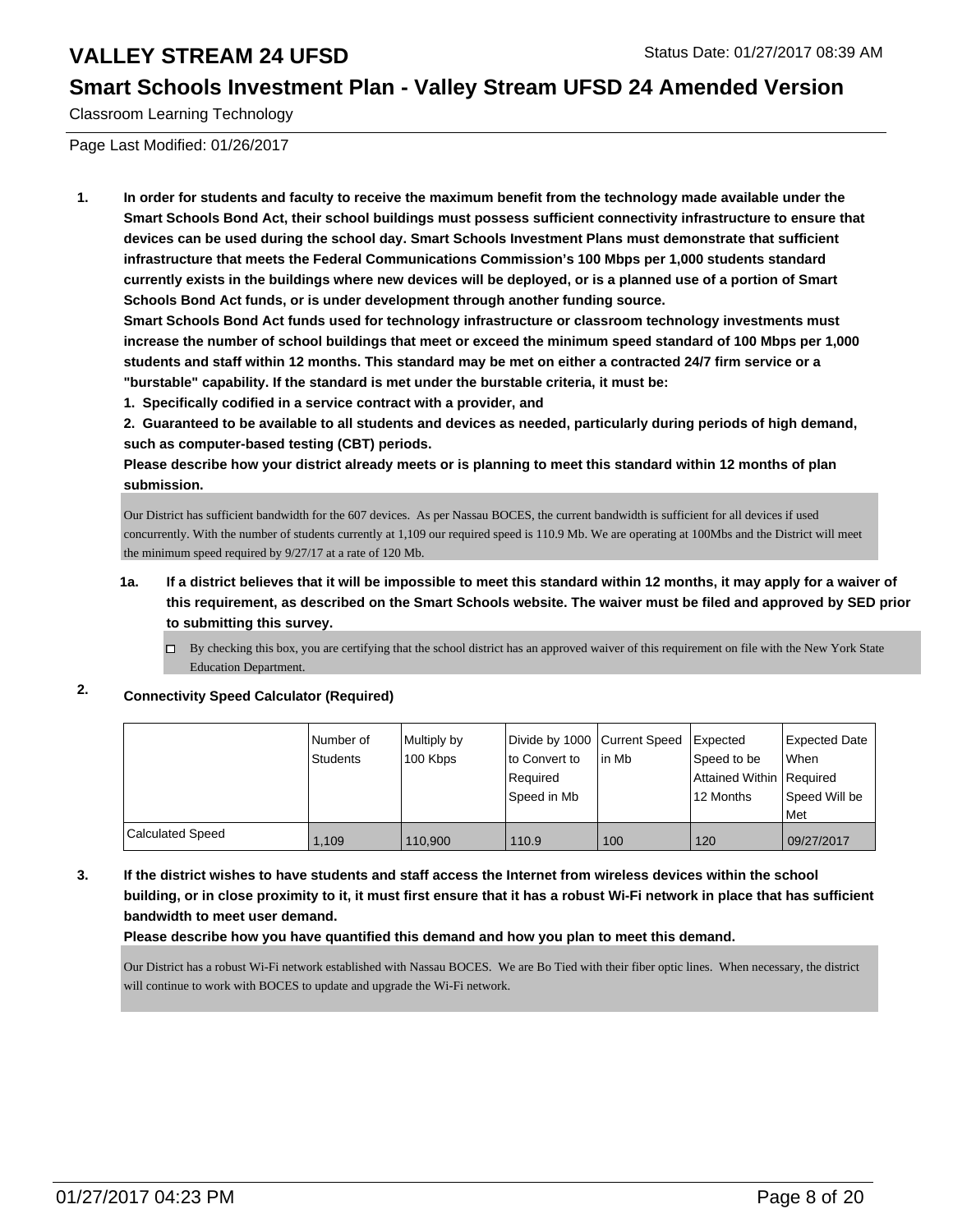#### **Smart Schools Investment Plan - Valley Stream UFSD 24 Amended Version**

Classroom Learning Technology

Page Last Modified: 01/26/2017

**1. In order for students and faculty to receive the maximum benefit from the technology made available under the Smart Schools Bond Act, their school buildings must possess sufficient connectivity infrastructure to ensure that devices can be used during the school day. Smart Schools Investment Plans must demonstrate that sufficient infrastructure that meets the Federal Communications Commission's 100 Mbps per 1,000 students standard currently exists in the buildings where new devices will be deployed, or is a planned use of a portion of Smart Schools Bond Act funds, or is under development through another funding source.**

**Smart Schools Bond Act funds used for technology infrastructure or classroom technology investments must increase the number of school buildings that meet or exceed the minimum speed standard of 100 Mbps per 1,000 students and staff within 12 months. This standard may be met on either a contracted 24/7 firm service or a "burstable" capability. If the standard is met under the burstable criteria, it must be:**

**1. Specifically codified in a service contract with a provider, and**

**2. Guaranteed to be available to all students and devices as needed, particularly during periods of high demand, such as computer-based testing (CBT) periods.**

**Please describe how your district already meets or is planning to meet this standard within 12 months of plan submission.**

Our District has sufficient bandwidth for the 607 devices. As per Nassau BOCES, the current bandwidth is sufficient for all devices if used concurrently. With the number of students currently at 1,109 our required speed is 110.9 Mb. We are operating at 100Mbs and the District will meet the minimum speed required by 9/27/17 at a rate of 120 Mb.

- **1a. If a district believes that it will be impossible to meet this standard within 12 months, it may apply for a waiver of this requirement, as described on the Smart Schools website. The waiver must be filed and approved by SED prior to submitting this survey.**
	- $\Box$  By checking this box, you are certifying that the school district has an approved waiver of this requirement on file with the New York State Education Department.

#### **2. Connectivity Speed Calculator (Required)**

|                         | l Number of<br><b>Students</b> | Multiply by<br>100 Kbps | Divide by 1000 Current Speed<br>lto Convert to | lin Mb | <b>I</b> Expected<br>Speed to be | <b>Expected Date</b><br>When |
|-------------------------|--------------------------------|-------------------------|------------------------------------------------|--------|----------------------------------|------------------------------|
|                         |                                |                         | Required                                       |        | Attained Within   Required       |                              |
|                         |                                |                         | Speed in Mb                                    |        | 12 Months                        | Speed Will be                |
|                         |                                |                         |                                                |        |                                  | Met                          |
| <b>Calculated Speed</b> | 1.109                          | 110.900                 | 110.9                                          | 100    | 120                              | 09/27/2017                   |

**3. If the district wishes to have students and staff access the Internet from wireless devices within the school building, or in close proximity to it, it must first ensure that it has a robust Wi-Fi network in place that has sufficient bandwidth to meet user demand.**

#### **Please describe how you have quantified this demand and how you plan to meet this demand.**

Our District has a robust Wi-Fi network established with Nassau BOCES. We are Bo Tied with their fiber optic lines. When necessary, the district will continue to work with BOCES to update and upgrade the Wi-Fi network.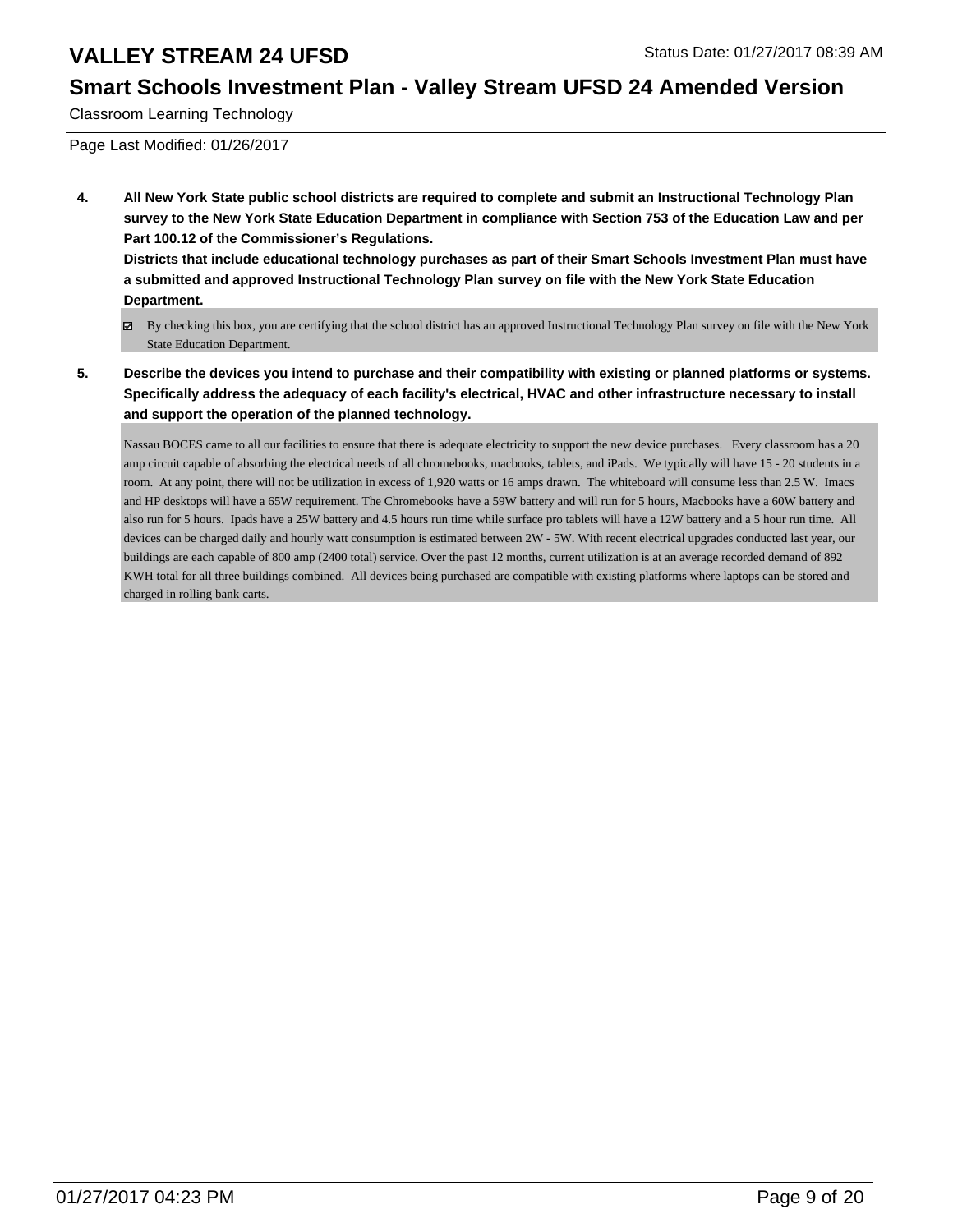# **Smart Schools Investment Plan - Valley Stream UFSD 24 Amended Version**

Classroom Learning Technology

Page Last Modified: 01/26/2017

**4. All New York State public school districts are required to complete and submit an Instructional Technology Plan survey to the New York State Education Department in compliance with Section 753 of the Education Law and per Part 100.12 of the Commissioner's Regulations.**

**Districts that include educational technology purchases as part of their Smart Schools Investment Plan must have a submitted and approved Instructional Technology Plan survey on file with the New York State Education Department.**

- By checking this box, you are certifying that the school district has an approved Instructional Technology Plan survey on file with the New York State Education Department.
- **5. Describe the devices you intend to purchase and their compatibility with existing or planned platforms or systems. Specifically address the adequacy of each facility's electrical, HVAC and other infrastructure necessary to install and support the operation of the planned technology.**

Nassau BOCES came to all our facilities to ensure that there is adequate electricity to support the new device purchases. Every classroom has a 20 amp circuit capable of absorbing the electrical needs of all chromebooks, macbooks, tablets, and iPads. We typically will have 15 - 20 students in a room. At any point, there will not be utilization in excess of 1,920 watts or 16 amps drawn. The whiteboard will consume less than 2.5 W. Imacs and HP desktops will have a 65W requirement. The Chromebooks have a 59W battery and will run for 5 hours, Macbooks have a 60W battery and also run for 5 hours. Ipads have a 25W battery and 4.5 hours run time while surface pro tablets will have a 12W battery and a 5 hour run time. All devices can be charged daily and hourly watt consumption is estimated between 2W - 5W. With recent electrical upgrades conducted last year, our buildings are each capable of 800 amp (2400 total) service. Over the past 12 months, current utilization is at an average recorded demand of 892 KWH total for all three buildings combined. All devices being purchased are compatible with existing platforms where laptops can be stored and charged in rolling bank carts.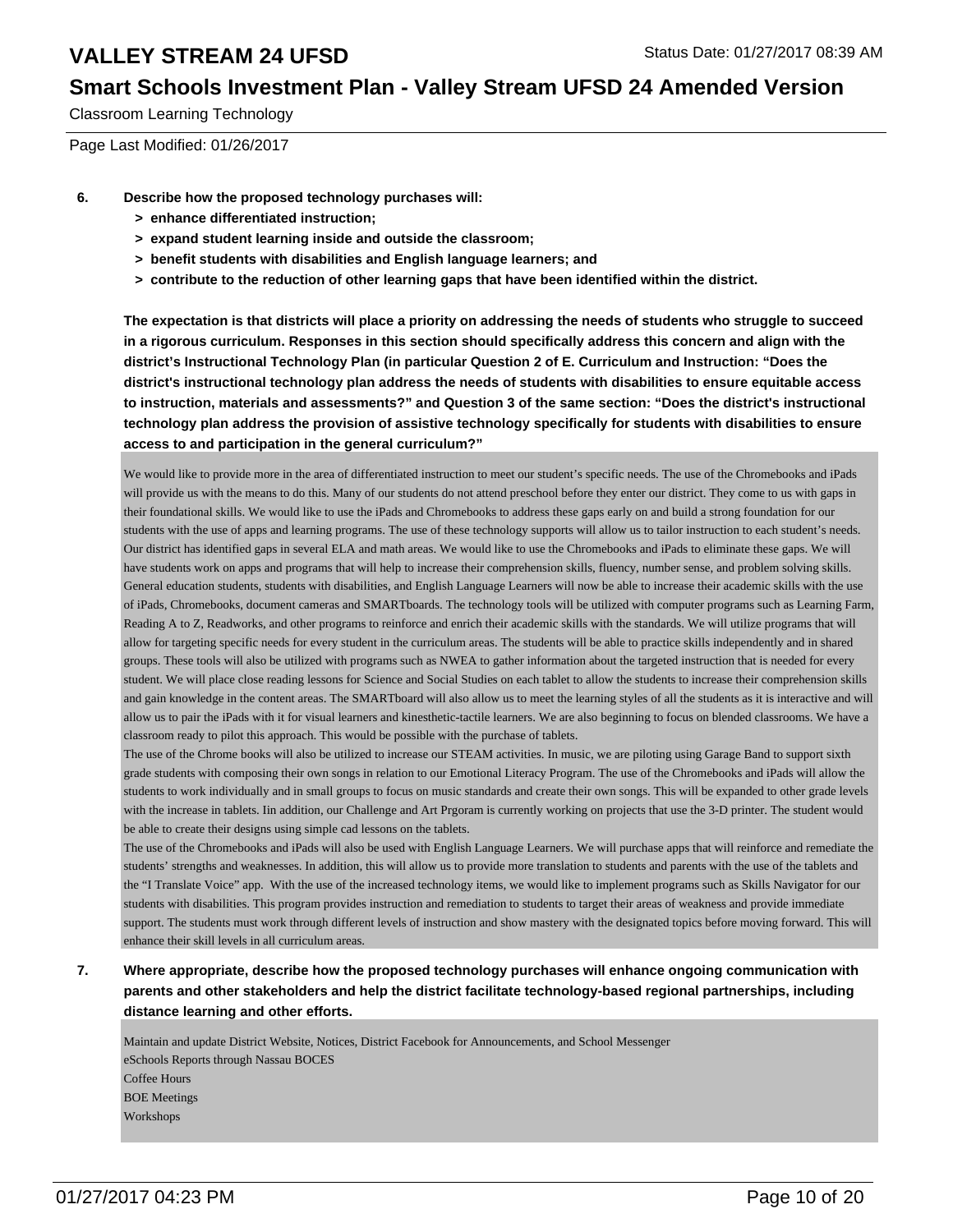### **Smart Schools Investment Plan - Valley Stream UFSD 24 Amended Version**

Classroom Learning Technology

Page Last Modified: 01/26/2017

- **6. Describe how the proposed technology purchases will:**
	- **> enhance differentiated instruction;**
	- **> expand student learning inside and outside the classroom;**
	- **> benefit students with disabilities and English language learners; and**
	- **> contribute to the reduction of other learning gaps that have been identified within the district.**

**The expectation is that districts will place a priority on addressing the needs of students who struggle to succeed in a rigorous curriculum. Responses in this section should specifically address this concern and align with the district's Instructional Technology Plan (in particular Question 2 of E. Curriculum and Instruction: "Does the district's instructional technology plan address the needs of students with disabilities to ensure equitable access to instruction, materials and assessments?" and Question 3 of the same section: "Does the district's instructional technology plan address the provision of assistive technology specifically for students with disabilities to ensure access to and participation in the general curriculum?"**

We would like to provide more in the area of differentiated instruction to meet our student's specific needs. The use of the Chromebooks and iPads will provide us with the means to do this. Many of our students do not attend preschool before they enter our district. They come to us with gaps in their foundational skills. We would like to use the iPads and Chromebooks to address these gaps early on and build a strong foundation for our students with the use of apps and learning programs. The use of these technology supports will allow us to tailor instruction to each student's needs. Our district has identified gaps in several ELA and math areas. We would like to use the Chromebooks and iPads to eliminate these gaps. We will have students work on apps and programs that will help to increase their comprehension skills, fluency, number sense, and problem solving skills. General education students, students with disabilities, and English Language Learners will now be able to increase their academic skills with the use of iPads, Chromebooks, document cameras and SMARTboards. The technology tools will be utilized with computer programs such as Learning Farm, Reading A to Z, Readworks, and other programs to reinforce and enrich their academic skills with the standards. We will utilize programs that will allow for targeting specific needs for every student in the curriculum areas. The students will be able to practice skills independently and in shared groups. These tools will also be utilized with programs such as NWEA to gather information about the targeted instruction that is needed for every student. We will place close reading lessons for Science and Social Studies on each tablet to allow the students to increase their comprehension skills and gain knowledge in the content areas. The SMARTboard will also allow us to meet the learning styles of all the students as it is interactive and will allow us to pair the iPads with it for visual learners and kinesthetic-tactile learners. We are also beginning to focus on blended classrooms. We have a classroom ready to pilot this approach. This would be possible with the purchase of tablets.

The use of the Chrome books will also be utilized to increase our STEAM activities. In music, we are piloting using Garage Band to support sixth grade students with composing their own songs in relation to our Emotional Literacy Program. The use of the Chromebooks and iPads will allow the students to work individually and in small groups to focus on music standards and create their own songs. This will be expanded to other grade levels with the increase in tablets. Iin addition, our Challenge and Art Prgoram is currently working on projects that use the 3-D printer. The student would be able to create their designs using simple cad lessons on the tablets.

The use of the Chromebooks and iPads will also be used with English Language Learners. We will purchase apps that will reinforce and remediate the students' strengths and weaknesses. In addition, this will allow us to provide more translation to students and parents with the use of the tablets and the "I Translate Voice" app. With the use of the increased technology items, we would like to implement programs such as Skills Navigator for our students with disabilities. This program provides instruction and remediation to students to target their areas of weakness and provide immediate support. The students must work through different levels of instruction and show mastery with the designated topics before moving forward. This will enhance their skill levels in all curriculum areas.

#### **7. Where appropriate, describe how the proposed technology purchases will enhance ongoing communication with parents and other stakeholders and help the district facilitate technology-based regional partnerships, including distance learning and other efforts.**

Maintain and update District Website, Notices, District Facebook for Announcements, and School Messenger eSchools Reports through Nassau BOCES Coffee Hours BOE Meetings Workshops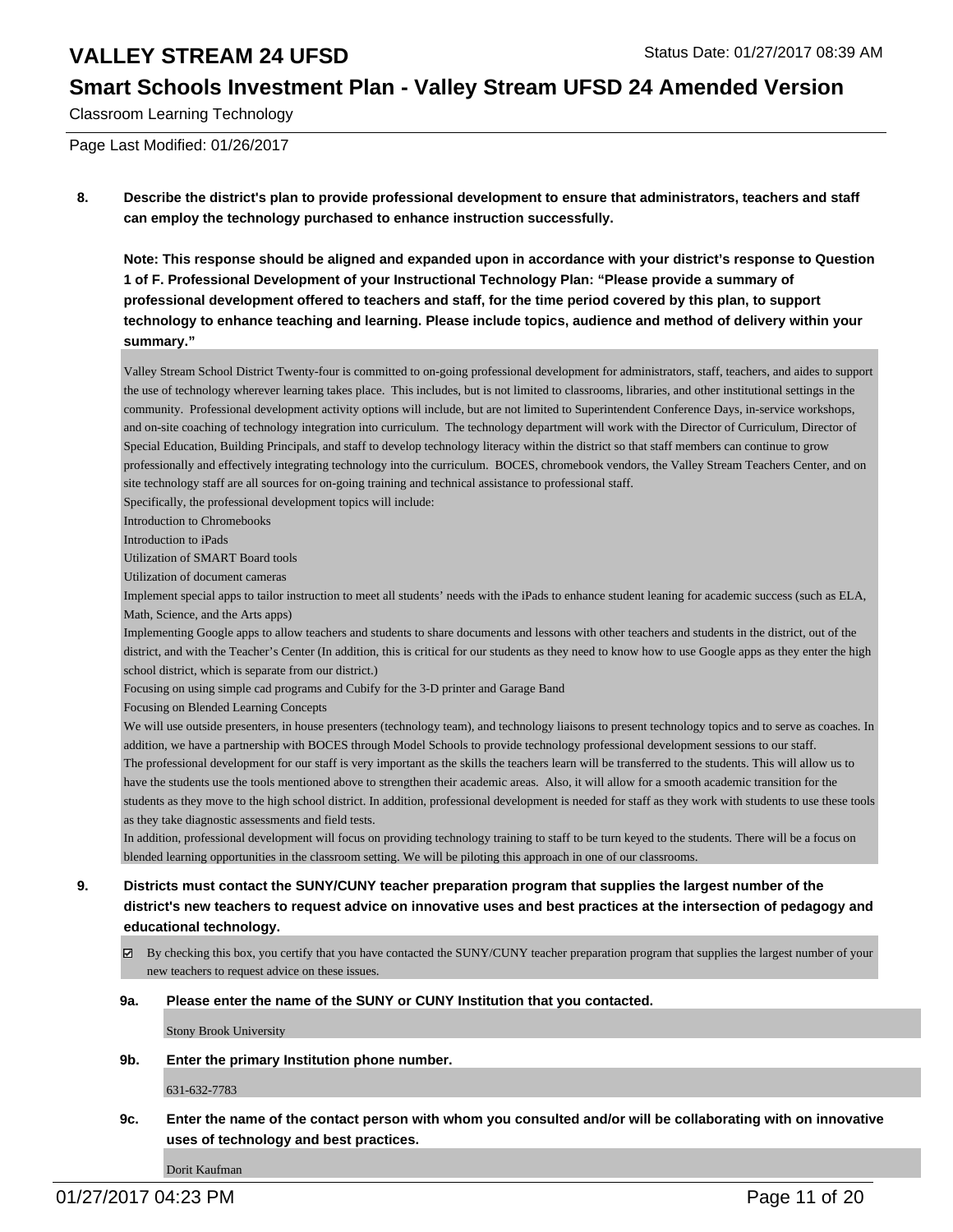#### **Smart Schools Investment Plan - Valley Stream UFSD 24 Amended Version**

Classroom Learning Technology

Page Last Modified: 01/26/2017

**8. Describe the district's plan to provide professional development to ensure that administrators, teachers and staff can employ the technology purchased to enhance instruction successfully.**

**Note: This response should be aligned and expanded upon in accordance with your district's response to Question 1 of F. Professional Development of your Instructional Technology Plan: "Please provide a summary of professional development offered to teachers and staff, for the time period covered by this plan, to support technology to enhance teaching and learning. Please include topics, audience and method of delivery within your summary."**

Valley Stream School District Twenty-four is committed to on-going professional development for administrators, staff, teachers, and aides to support the use of technology wherever learning takes place. This includes, but is not limited to classrooms, libraries, and other institutional settings in the community. Professional development activity options will include, but are not limited to Superintendent Conference Days, in-service workshops, and on-site coaching of technology integration into curriculum. The technology department will work with the Director of Curriculum, Director of Special Education, Building Principals, and staff to develop technology literacy within the district so that staff members can continue to grow professionally and effectively integrating technology into the curriculum. BOCES, chromebook vendors, the Valley Stream Teachers Center, and on site technology staff are all sources for on-going training and technical assistance to professional staff.

Specifically, the professional development topics will include:

Introduction to Chromebooks

Introduction to iPads

Utilization of SMART Board tools

Utilization of document cameras

Implement special apps to tailor instruction to meet all students' needs with the iPads to enhance student leaning for academic success (such as ELA, Math, Science, and the Arts apps)

Implementing Google apps to allow teachers and students to share documents and lessons with other teachers and students in the district, out of the district, and with the Teacher's Center (In addition, this is critical for our students as they need to know how to use Google apps as they enter the high school district, which is separate from our district.)

Focusing on using simple cad programs and Cubify for the 3-D printer and Garage Band

Focusing on Blended Learning Concepts

We will use outside presenters, in house presenters (technology team), and technology liaisons to present technology topics and to serve as coaches. In addition, we have a partnership with BOCES through Model Schools to provide technology professional development sessions to our staff. The professional development for our staff is very important as the skills the teachers learn will be transferred to the students. This will allow us to have the students use the tools mentioned above to strengthen their academic areas. Also, it will allow for a smooth academic transition for the students as they move to the high school district. In addition, professional development is needed for staff as they work with students to use these tools as they take diagnostic assessments and field tests.

In addition, professional development will focus on providing technology training to staff to be turn keyed to the students. There will be a focus on blended learning opportunities in the classroom setting. We will be piloting this approach in one of our classrooms.

- **9. Districts must contact the SUNY/CUNY teacher preparation program that supplies the largest number of the district's new teachers to request advice on innovative uses and best practices at the intersection of pedagogy and educational technology.**
	- $\boxtimes$  By checking this box, you certify that you have contacted the SUNY/CUNY teacher preparation program that supplies the largest number of your new teachers to request advice on these issues.

#### **9a. Please enter the name of the SUNY or CUNY Institution that you contacted.**

Stony Brook University

**9b. Enter the primary Institution phone number.**

631-632-7783

**9c. Enter the name of the contact person with whom you consulted and/or will be collaborating with on innovative uses of technology and best practices.**

Dorit Kaufman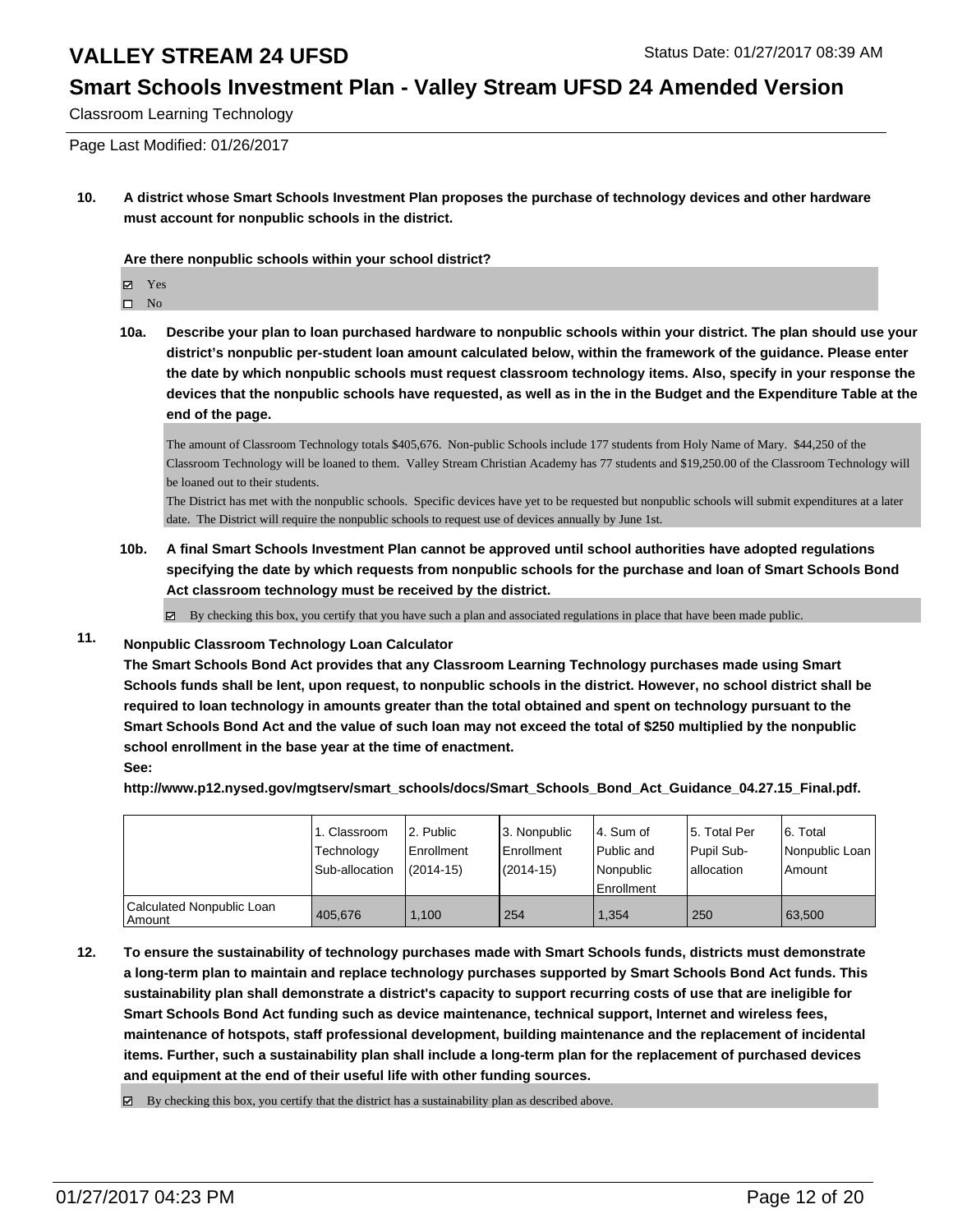# **Smart Schools Investment Plan - Valley Stream UFSD 24 Amended Version**

Classroom Learning Technology

Page Last Modified: 01/26/2017

**10. A district whose Smart Schools Investment Plan proposes the purchase of technology devices and other hardware must account for nonpublic schools in the district.**

**Are there nonpublic schools within your school district?**

Yes

 $\hfill \square$  No

**10a. Describe your plan to loan purchased hardware to nonpublic schools within your district. The plan should use your district's nonpublic per-student loan amount calculated below, within the framework of the guidance. Please enter the date by which nonpublic schools must request classroom technology items. Also, specify in your response the devices that the nonpublic schools have requested, as well as in the in the Budget and the Expenditure Table at the end of the page.**

The amount of Classroom Technology totals \$405,676. Non-public Schools include 177 students from Holy Name of Mary. \$44,250 of the Classroom Technology will be loaned to them. Valley Stream Christian Academy has 77 students and \$19,250.00 of the Classroom Technology will be loaned out to their students.

The District has met with the nonpublic schools. Specific devices have yet to be requested but nonpublic schools will submit expenditures at a later date. The District will require the nonpublic schools to request use of devices annually by June 1st.

**10b. A final Smart Schools Investment Plan cannot be approved until school authorities have adopted regulations specifying the date by which requests from nonpublic schools for the purchase and loan of Smart Schools Bond Act classroom technology must be received by the district.**

 $\boxtimes$  By checking this box, you certify that you have such a plan and associated regulations in place that have been made public.

### **11. Nonpublic Classroom Technology Loan Calculator**

**The Smart Schools Bond Act provides that any Classroom Learning Technology purchases made using Smart Schools funds shall be lent, upon request, to nonpublic schools in the district. However, no school district shall be required to loan technology in amounts greater than the total obtained and spent on technology pursuant to the Smart Schools Bond Act and the value of such loan may not exceed the total of \$250 multiplied by the nonpublic school enrollment in the base year at the time of enactment. See:**

**http://www.p12.nysed.gov/mgtserv/smart\_schools/docs/Smart\_Schools\_Bond\_Act\_Guidance\_04.27.15\_Final.pdf.**

|                                     | 1. Classroom<br>Technology<br>Sub-allocation | 2. Public<br>Enrollment<br>$(2014 - 15)$ | 13. Nonpublic<br><b>Enrollment</b><br>$(2014 - 15)$ | 4. Sum of<br>Public and<br>l Nonpublic<br><b>Enrollment</b> | 15. Total Per<br>Pupil Sub-<br>allocation | 6. Total<br>Nonpublic Loan  <br>Amount |
|-------------------------------------|----------------------------------------------|------------------------------------------|-----------------------------------------------------|-------------------------------------------------------------|-------------------------------------------|----------------------------------------|
| Calculated Nonpublic Loan<br>Amount | 405.676                                      | 1.100                                    | 254                                                 | 1.354                                                       | 250                                       | 63.500                                 |

**12. To ensure the sustainability of technology purchases made with Smart Schools funds, districts must demonstrate a long-term plan to maintain and replace technology purchases supported by Smart Schools Bond Act funds. This sustainability plan shall demonstrate a district's capacity to support recurring costs of use that are ineligible for Smart Schools Bond Act funding such as device maintenance, technical support, Internet and wireless fees, maintenance of hotspots, staff professional development, building maintenance and the replacement of incidental items. Further, such a sustainability plan shall include a long-term plan for the replacement of purchased devices and equipment at the end of their useful life with other funding sources.**

 $\boxtimes$  By checking this box, you certify that the district has a sustainability plan as described above.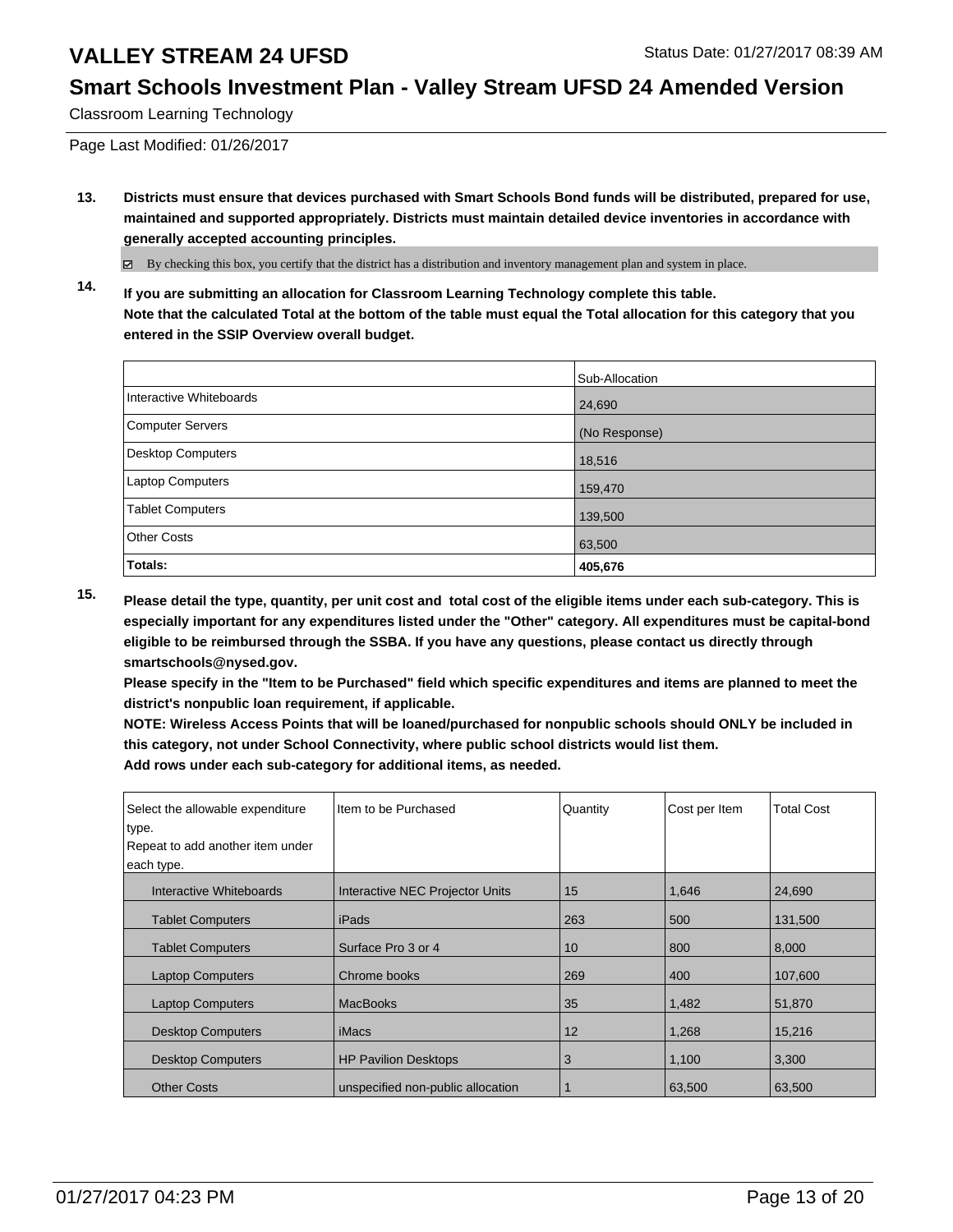### **Smart Schools Investment Plan - Valley Stream UFSD 24 Amended Version**

Classroom Learning Technology

Page Last Modified: 01/26/2017

**13. Districts must ensure that devices purchased with Smart Schools Bond funds will be distributed, prepared for use, maintained and supported appropriately. Districts must maintain detailed device inventories in accordance with generally accepted accounting principles.**

By checking this box, you certify that the district has a distribution and inventory management plan and system in place.

**14. If you are submitting an allocation for Classroom Learning Technology complete this table. Note that the calculated Total at the bottom of the table must equal the Total allocation for this category that you entered in the SSIP Overview overall budget.**

|                          | Sub-Allocation |
|--------------------------|----------------|
| Interactive Whiteboards  | 24,690         |
| Computer Servers         | (No Response)  |
| <b>Desktop Computers</b> | 18,516         |
| Laptop Computers         | 159,470        |
| <b>Tablet Computers</b>  | 139,500        |
| <b>Other Costs</b>       | 63,500         |
| Totals:                  | 405,676        |

**15. Please detail the type, quantity, per unit cost and total cost of the eligible items under each sub-category. This is especially important for any expenditures listed under the "Other" category. All expenditures must be capital-bond eligible to be reimbursed through the SSBA. If you have any questions, please contact us directly through smartschools@nysed.gov.**

**Please specify in the "Item to be Purchased" field which specific expenditures and items are planned to meet the district's nonpublic loan requirement, if applicable.**

**NOTE: Wireless Access Points that will be loaned/purchased for nonpublic schools should ONLY be included in this category, not under School Connectivity, where public school districts would list them. Add rows under each sub-category for additional items, as needed.**

| Select the allowable expenditure<br>type.<br>Repeat to add another item under<br>each type. | Item to be Purchased              | Quantity | Cost per Item | <b>Total Cost</b> |
|---------------------------------------------------------------------------------------------|-----------------------------------|----------|---------------|-------------------|
| Interactive Whiteboards                                                                     | Interactive NEC Projector Units   | 15       | 1,646         | 24,690            |
| <b>Tablet Computers</b>                                                                     | l iPads                           | 263      | 500           | 131,500           |
| <b>Tablet Computers</b>                                                                     | Surface Pro 3 or 4                | 10       | 800           | 8,000             |
| <b>Laptop Computers</b>                                                                     | Chrome books                      | 269      | 400           | 107,600           |
| <b>Laptop Computers</b>                                                                     | <b>MacBooks</b>                   | 35       | 1,482         | 51,870            |
| <b>Desktop Computers</b>                                                                    | iMacs                             | 12       | 1,268         | 15.216            |
| <b>Desktop Computers</b>                                                                    | <b>HP Pavilion Desktops</b>       | 3        | 1,100         | 3,300             |
| <b>Other Costs</b>                                                                          | unspecified non-public allocation |          | 63,500        | 63,500            |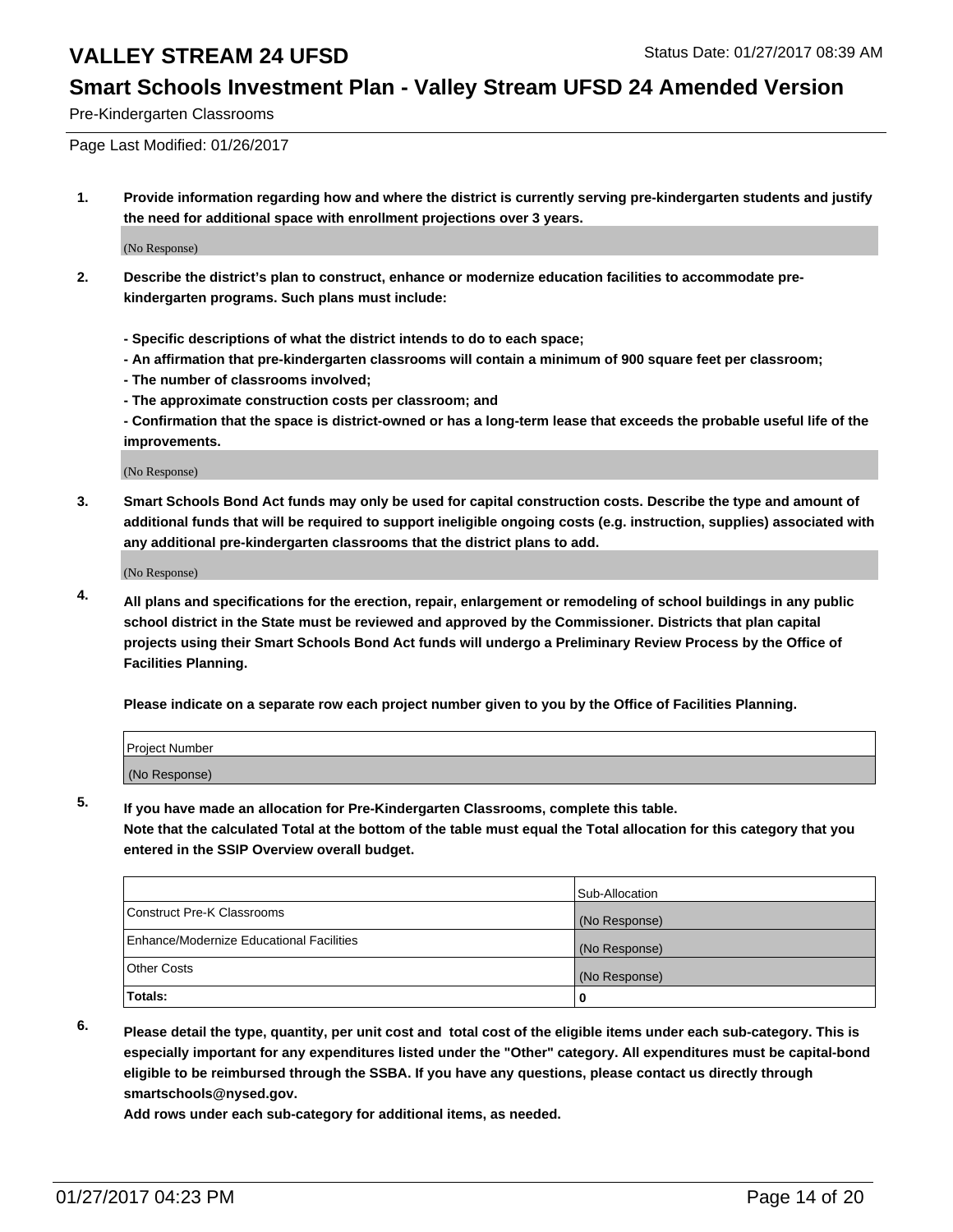#### **Smart Schools Investment Plan - Valley Stream UFSD 24 Amended Version**

Pre-Kindergarten Classrooms

Page Last Modified: 01/26/2017

**1. Provide information regarding how and where the district is currently serving pre-kindergarten students and justify the need for additional space with enrollment projections over 3 years.**

(No Response)

- **2. Describe the district's plan to construct, enhance or modernize education facilities to accommodate prekindergarten programs. Such plans must include:**
	- **Specific descriptions of what the district intends to do to each space;**
	- **An affirmation that pre-kindergarten classrooms will contain a minimum of 900 square feet per classroom;**
	- **The number of classrooms involved;**
	- **The approximate construction costs per classroom; and**
	- **Confirmation that the space is district-owned or has a long-term lease that exceeds the probable useful life of the improvements.**

(No Response)

**3. Smart Schools Bond Act funds may only be used for capital construction costs. Describe the type and amount of additional funds that will be required to support ineligible ongoing costs (e.g. instruction, supplies) associated with any additional pre-kindergarten classrooms that the district plans to add.**

(No Response)

**4. All plans and specifications for the erection, repair, enlargement or remodeling of school buildings in any public school district in the State must be reviewed and approved by the Commissioner. Districts that plan capital projects using their Smart Schools Bond Act funds will undergo a Preliminary Review Process by the Office of Facilities Planning.**

**Please indicate on a separate row each project number given to you by the Office of Facilities Planning.**

| Project Number |  |  |
|----------------|--|--|
| (No Response)  |  |  |

**5. If you have made an allocation for Pre-Kindergarten Classrooms, complete this table.**

**Note that the calculated Total at the bottom of the table must equal the Total allocation for this category that you entered in the SSIP Overview overall budget.**

|                                          | Sub-Allocation |
|------------------------------------------|----------------|
| Construct Pre-K Classrooms               | (No Response)  |
| Enhance/Modernize Educational Facilities | (No Response)  |
| Other Costs                              | (No Response)  |
| Totals:                                  | 0              |

**6. Please detail the type, quantity, per unit cost and total cost of the eligible items under each sub-category. This is especially important for any expenditures listed under the "Other" category. All expenditures must be capital-bond eligible to be reimbursed through the SSBA. If you have any questions, please contact us directly through smartschools@nysed.gov.**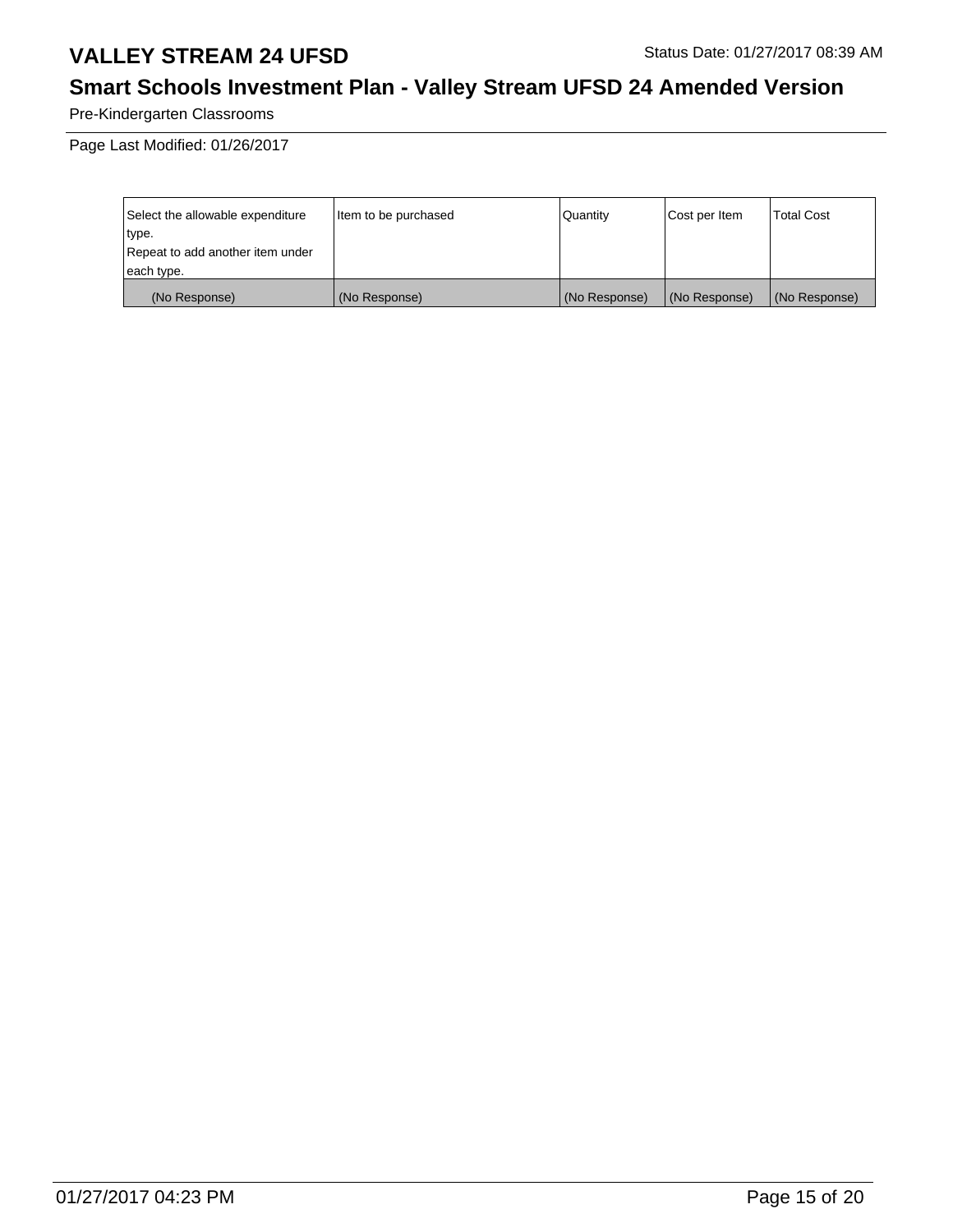# **Smart Schools Investment Plan - Valley Stream UFSD 24 Amended Version**

Pre-Kindergarten Classrooms

| Select the allowable expenditure | litem to be purchased | Quantity      | Cost per Item | <b>Total Cost</b> |
|----------------------------------|-----------------------|---------------|---------------|-------------------|
| type.                            |                       |               |               |                   |
| Repeat to add another item under |                       |               |               |                   |
| each type.                       |                       |               |               |                   |
| (No Response)                    | (No Response)         | (No Response) | (No Response) | (No Response)     |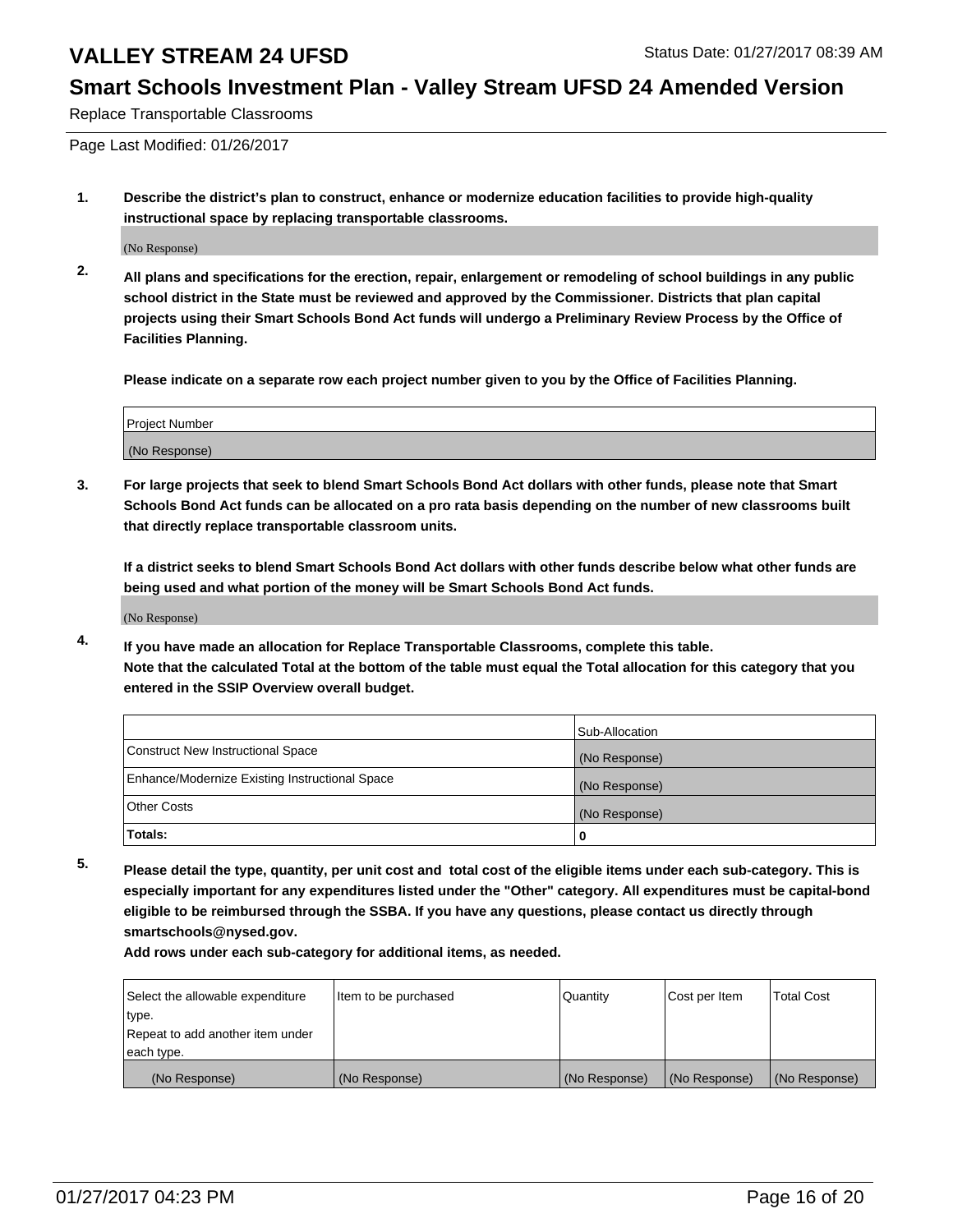### **Smart Schools Investment Plan - Valley Stream UFSD 24 Amended Version**

Replace Transportable Classrooms

Page Last Modified: 01/26/2017

**1. Describe the district's plan to construct, enhance or modernize education facilities to provide high-quality instructional space by replacing transportable classrooms.**

(No Response)

**2. All plans and specifications for the erection, repair, enlargement or remodeling of school buildings in any public school district in the State must be reviewed and approved by the Commissioner. Districts that plan capital projects using their Smart Schools Bond Act funds will undergo a Preliminary Review Process by the Office of Facilities Planning.**

**Please indicate on a separate row each project number given to you by the Office of Facilities Planning.**

| <b>Project Number</b> |  |
|-----------------------|--|
| (No Response)         |  |

**3. For large projects that seek to blend Smart Schools Bond Act dollars with other funds, please note that Smart Schools Bond Act funds can be allocated on a pro rata basis depending on the number of new classrooms built that directly replace transportable classroom units.**

**If a district seeks to blend Smart Schools Bond Act dollars with other funds describe below what other funds are being used and what portion of the money will be Smart Schools Bond Act funds.**

(No Response)

**4. If you have made an allocation for Replace Transportable Classrooms, complete this table. Note that the calculated Total at the bottom of the table must equal the Total allocation for this category that you entered in the SSIP Overview overall budget.**

|                                                | Sub-Allocation |
|------------------------------------------------|----------------|
| Construct New Instructional Space              | (No Response)  |
| Enhance/Modernize Existing Instructional Space | (No Response)  |
| <b>Other Costs</b>                             | (No Response)  |
| Totals:                                        |                |

**5. Please detail the type, quantity, per unit cost and total cost of the eligible items under each sub-category. This is especially important for any expenditures listed under the "Other" category. All expenditures must be capital-bond eligible to be reimbursed through the SSBA. If you have any questions, please contact us directly through smartschools@nysed.gov.**

| Select the allowable expenditure | litem to be purchased | Quantity      | Cost per Item | <b>Total Cost</b> |
|----------------------------------|-----------------------|---------------|---------------|-------------------|
| type.                            |                       |               |               |                   |
| Repeat to add another item under |                       |               |               |                   |
| each type.                       |                       |               |               |                   |
| (No Response)                    | (No Response)         | (No Response) | (No Response) | (No Response)     |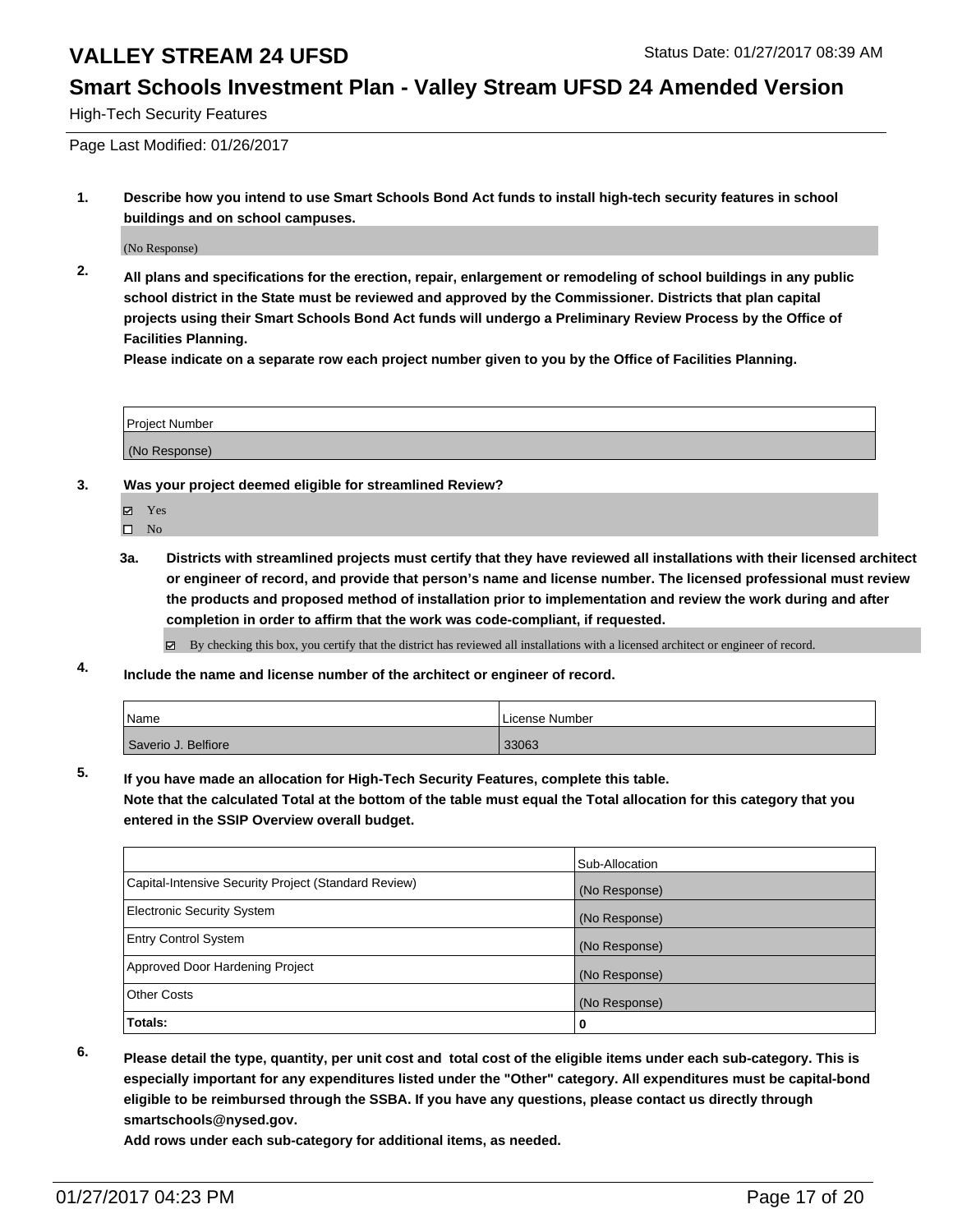#### **Smart Schools Investment Plan - Valley Stream UFSD 24 Amended Version**

High-Tech Security Features

Page Last Modified: 01/26/2017

**1. Describe how you intend to use Smart Schools Bond Act funds to install high-tech security features in school buildings and on school campuses.**

(No Response)

**2. All plans and specifications for the erection, repair, enlargement or remodeling of school buildings in any public school district in the State must be reviewed and approved by the Commissioner. Districts that plan capital projects using their Smart Schools Bond Act funds will undergo a Preliminary Review Process by the Office of Facilities Planning.** 

**Please indicate on a separate row each project number given to you by the Office of Facilities Planning.**

| Project Number |  |
|----------------|--|
|                |  |
| (No Response)  |  |

- **3. Was your project deemed eligible for streamlined Review?**
	- Yes
	- $\square$  No
	- **3a. Districts with streamlined projects must certify that they have reviewed all installations with their licensed architect or engineer of record, and provide that person's name and license number. The licensed professional must review the products and proposed method of installation prior to implementation and review the work during and after completion in order to affirm that the work was code-compliant, if requested.**

By checking this box, you certify that the district has reviewed all installations with a licensed architect or engineer of record.

**4. Include the name and license number of the architect or engineer of record.**

| Name                | License Number |
|---------------------|----------------|
| Saverio J. Belfiore | 33063          |

**5. If you have made an allocation for High-Tech Security Features, complete this table.**

**Note that the calculated Total at the bottom of the table must equal the Total allocation for this category that you entered in the SSIP Overview overall budget.**

|                                                      | Sub-Allocation |
|------------------------------------------------------|----------------|
| Capital-Intensive Security Project (Standard Review) | (No Response)  |
| <b>Electronic Security System</b>                    | (No Response)  |
| <b>Entry Control System</b>                          | (No Response)  |
| Approved Door Hardening Project                      | (No Response)  |
| <b>Other Costs</b>                                   | (No Response)  |
| Totals:                                              | 0              |

- 
- **6. Please detail the type, quantity, per unit cost and total cost of the eligible items under each sub-category. This is especially important for any expenditures listed under the "Other" category. All expenditures must be capital-bond eligible to be reimbursed through the SSBA. If you have any questions, please contact us directly through smartschools@nysed.gov.**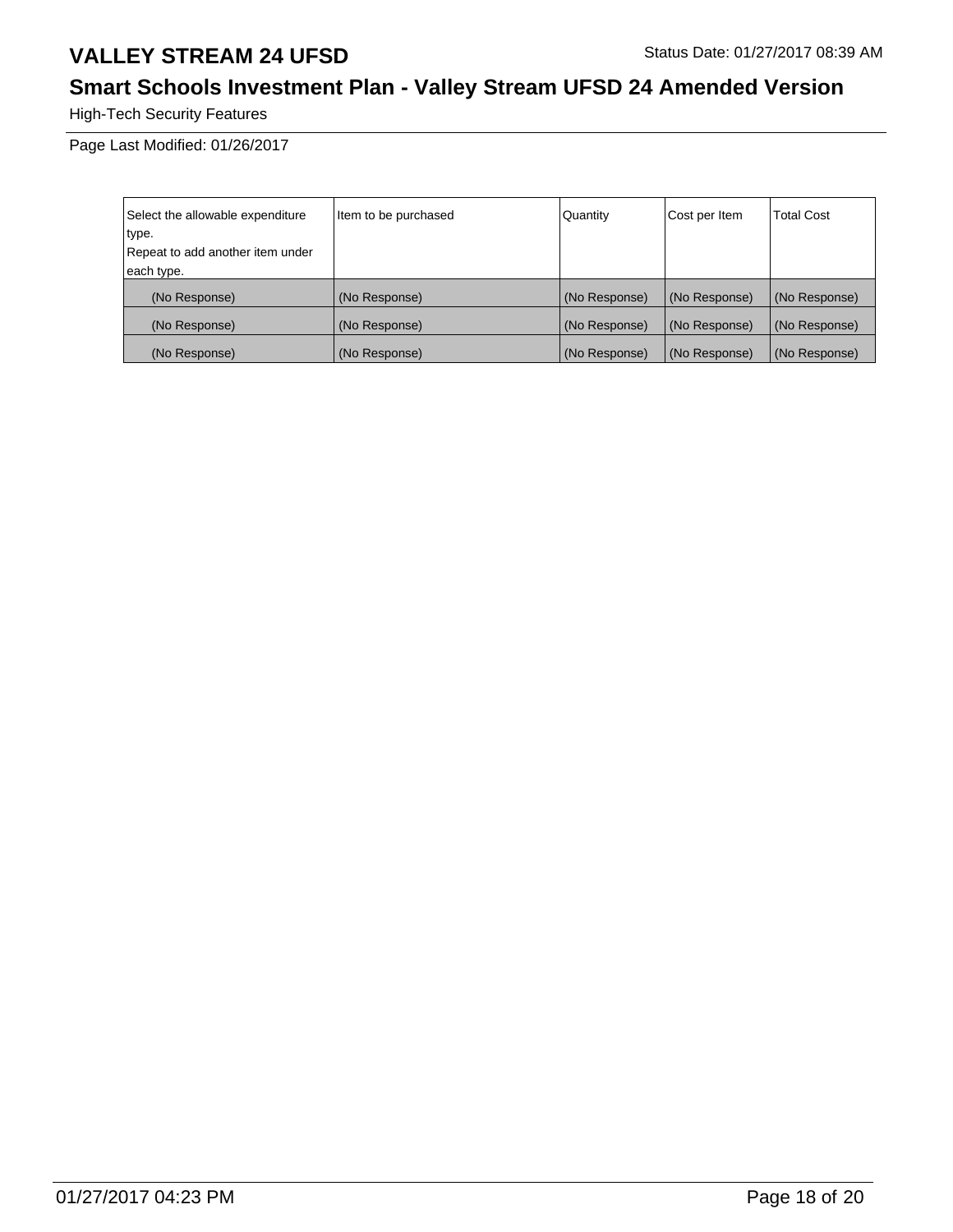# **Smart Schools Investment Plan - Valley Stream UFSD 24 Amended Version**

High-Tech Security Features

| Select the allowable expenditure | Item to be purchased | Quantity      | Cost per Item | <b>Total Cost</b> |
|----------------------------------|----------------------|---------------|---------------|-------------------|
| type.                            |                      |               |               |                   |
| Repeat to add another item under |                      |               |               |                   |
| each type.                       |                      |               |               |                   |
| (No Response)                    | (No Response)        | (No Response) | (No Response) | (No Response)     |
| (No Response)                    | (No Response)        | (No Response) | (No Response) | (No Response)     |
| (No Response)                    | (No Response)        | (No Response) | (No Response) | (No Response)     |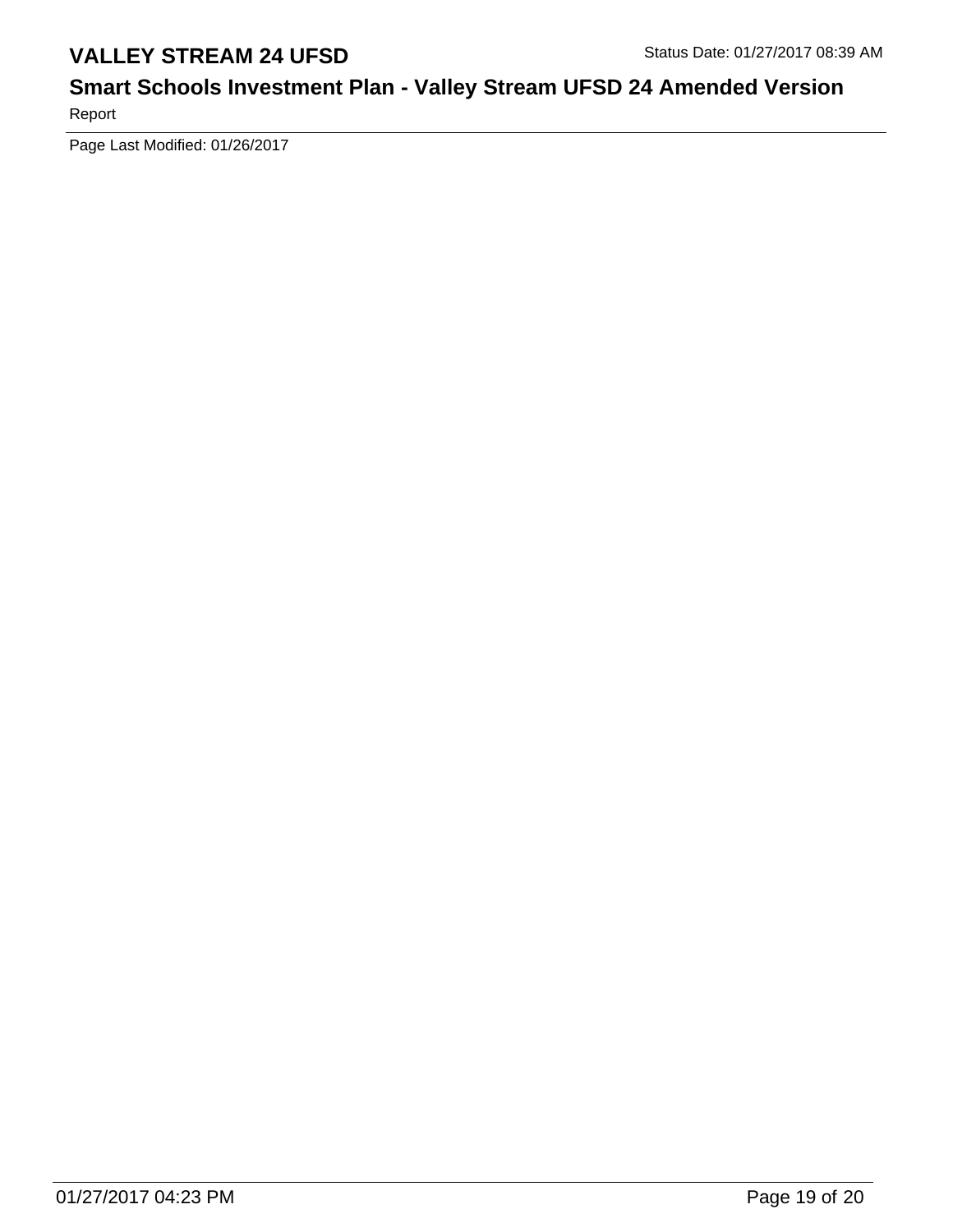# **Smart Schools Investment Plan - Valley Stream UFSD 24 Amended Version**

Report